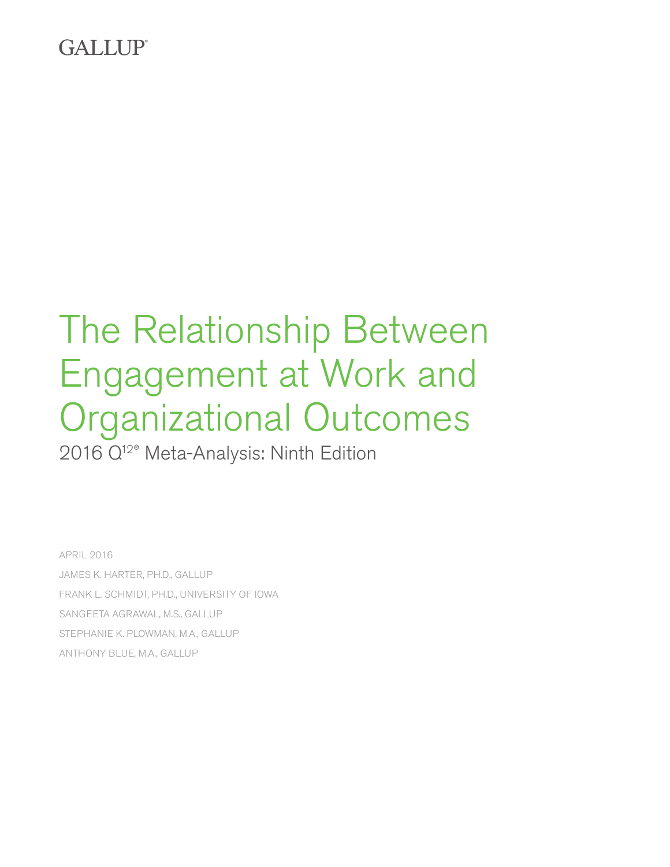# GALLUP<sup>®</sup>

# The Relationship Between Engagement at Work and Organizational Outcomes 2016 Q12® Meta-Analysis: Ninth Edition

APRIL 2016 JAMES K. HARTER, PH.D., GALLUP FRANK L. SCHMIDT, PH.D., UNIVERSITY OF IOWA SANGEETA AGRAWAL, M.S., GALLUP STEPHANIE K. PLOWMAN, M.A., GALLUP ANTHONY BLUE, M.A., GALLUP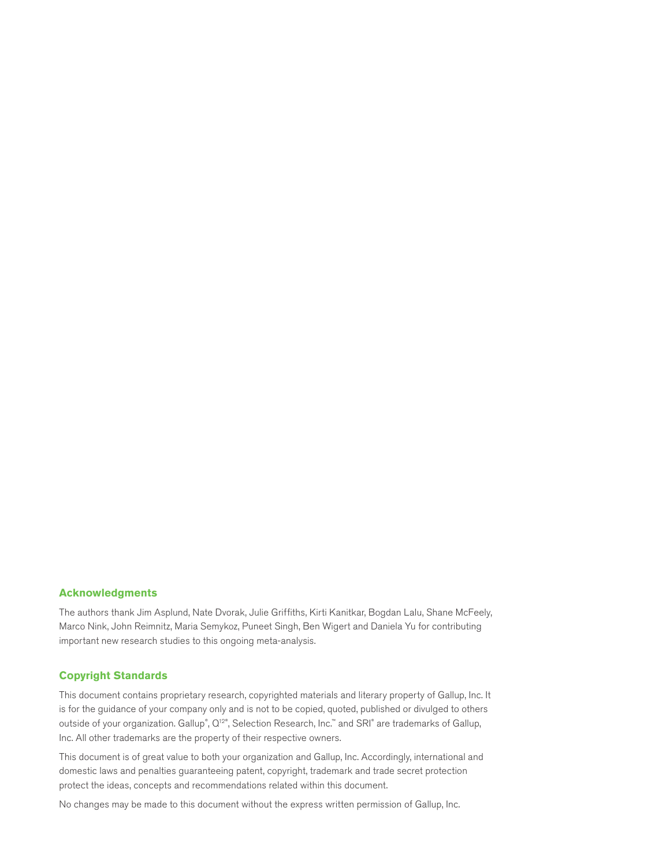#### **Acknowledgments**

The authors thank Jim Asplund, Nate Dvorak, Julie Griffiths, Kirti Kanitkar, Bogdan Lalu, Shane McFeely, Marco Nink, John Reimnitz, Maria Semykoz, Puneet Singh, Ben Wigert and Daniela Yu for contributing important new research studies to this ongoing meta-analysis.

#### **Copyright Standards**

This document contains proprietary research, copyrighted materials and literary property of Gallup, Inc. It is for the guidance of your company only and is not to be copied, quoted, published or divulged to others outside of your organization. Gallup®, Q<sup>12®</sup>, Selection Research, Inc.™ and SRI® are trademarks of Gallup, Inc. All other trademarks are the property of their respective owners.

This document is of great value to both your organization and Gallup, Inc. Accordingly, international and domestic laws and penalties guaranteeing patent, copyright, trademark and trade secret protection protect the ideas, concepts and recommendations related within this document.

No changes may be made to this document without the express written permission of Gallup, Inc.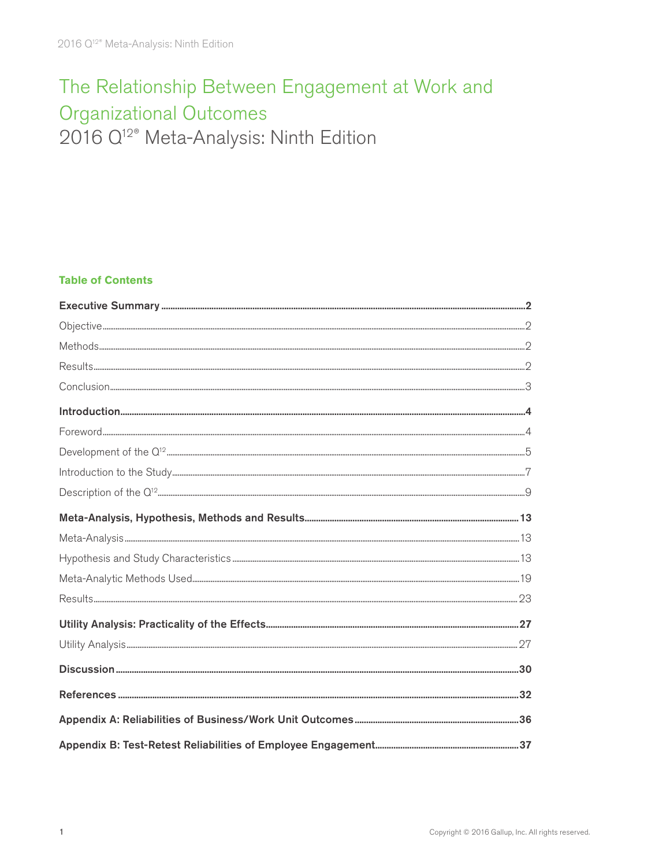# The Relationship Between Engagement at Work and Organizational Outcomes<br>2016 Q<sup>12</sup>° Meta-Analysis: Ninth Edition

### **Table of Contents**

| $\textbf{Development of the }Q^{12} \textit{\textbf{}} \textit{\textbf{}} \textit{\textbf{}} \textit{\textbf{}} \textit{\textbf{}} \textit{\textbf{}} \textit{\textbf{}} \textit{\textbf{}} \textit{\textbf{}} \textit{\textbf{}} \textit{\textbf{}} \textit{\textbf{}} \textit{\textbf{}} \textit{\textbf{}} \textit{\textbf{}} \textit{\textbf{}} \textit{\textbf{}} \textit{\textbf{}} \textit{\textbf{}} \textit{\textbf{}} \textit{\textbf{}} \textit{\textbf{}} \textit{\textbf{}}$ |  |
|-------------------------------------------------------------------------------------------------------------------------------------------------------------------------------------------------------------------------------------------------------------------------------------------------------------------------------------------------------------------------------------------------------------------------------------------------------------------------------------------|--|
|                                                                                                                                                                                                                                                                                                                                                                                                                                                                                           |  |
|                                                                                                                                                                                                                                                                                                                                                                                                                                                                                           |  |
|                                                                                                                                                                                                                                                                                                                                                                                                                                                                                           |  |
|                                                                                                                                                                                                                                                                                                                                                                                                                                                                                           |  |
|                                                                                                                                                                                                                                                                                                                                                                                                                                                                                           |  |
|                                                                                                                                                                                                                                                                                                                                                                                                                                                                                           |  |
|                                                                                                                                                                                                                                                                                                                                                                                                                                                                                           |  |
|                                                                                                                                                                                                                                                                                                                                                                                                                                                                                           |  |
|                                                                                                                                                                                                                                                                                                                                                                                                                                                                                           |  |
|                                                                                                                                                                                                                                                                                                                                                                                                                                                                                           |  |
|                                                                                                                                                                                                                                                                                                                                                                                                                                                                                           |  |
|                                                                                                                                                                                                                                                                                                                                                                                                                                                                                           |  |
|                                                                                                                                                                                                                                                                                                                                                                                                                                                                                           |  |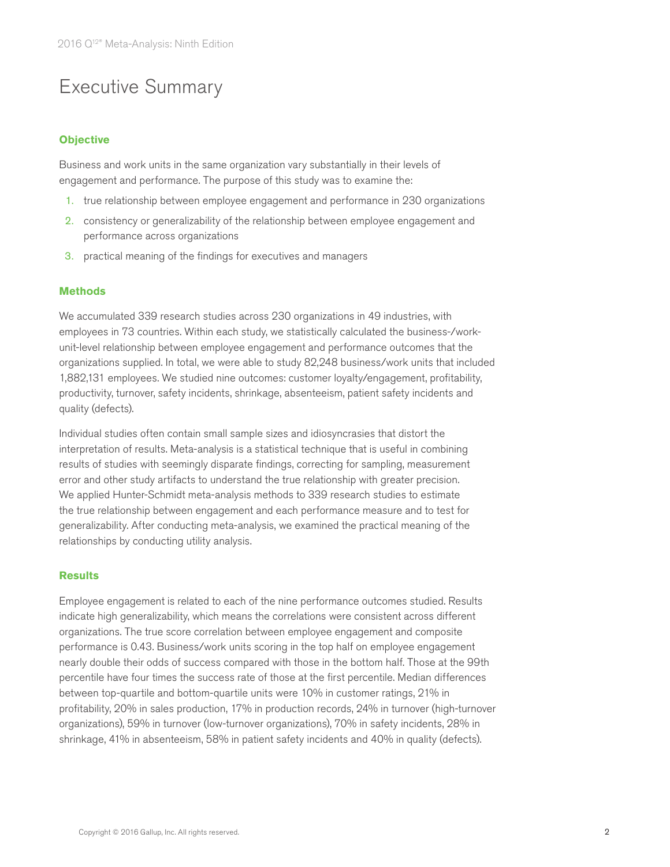# Executive Summary

#### **Objective**

Business and work units in the same organization vary substantially in their levels of engagement and performance. The purpose of this study was to examine the:

- 1. true relationship between employee engagement and performance in 230 organizations
- 2. consistency or generalizability of the relationship between employee engagement and performance across organizations
- 3. practical meaning of the findings for executives and managers

#### **Methods**

We accumulated 339 research studies across 230 organizations in 49 industries, with employees in 73 countries. Within each study, we statistically calculated the business-/workunit-level relationship between employee engagement and performance outcomes that the organizations supplied. In total, we were able to study 82,248 business/work units that included 1,882,131 employees. We studied nine outcomes: customer loyalty/engagement, profitability, productivity, turnover, safety incidents, shrinkage, absenteeism, patient safety incidents and quality (defects).

Individual studies often contain small sample sizes and idiosyncrasies that distort the interpretation of results. Meta-analysis is a statistical technique that is useful in combining results of studies with seemingly disparate findings, correcting for sampling, measurement error and other study artifacts to understand the true relationship with greater precision. We applied Hunter-Schmidt meta-analysis methods to 339 research studies to estimate the true relationship between engagement and each performance measure and to test for generalizability. After conducting meta-analysis, we examined the practical meaning of the relationships by conducting utility analysis.

#### **Results**

Employee engagement is related to each of the nine performance outcomes studied. Results indicate high generalizability, which means the correlations were consistent across different organizations. The true score correlation between employee engagement and composite performance is 0.43. Business/work units scoring in the top half on employee engagement nearly double their odds of success compared with those in the bottom half. Those at the 99th percentile have four times the success rate of those at the first percentile. Median differences between top-quartile and bottom-quartile units were 10% in customer ratings, 21% in profitability, 20% in sales production, 17% in production records, 24% in turnover (high-turnover organizations), 59% in turnover (low-turnover organizations), 70% in safety incidents, 28% in shrinkage, 41% in absenteeism, 58% in patient safety incidents and 40% in quality (defects).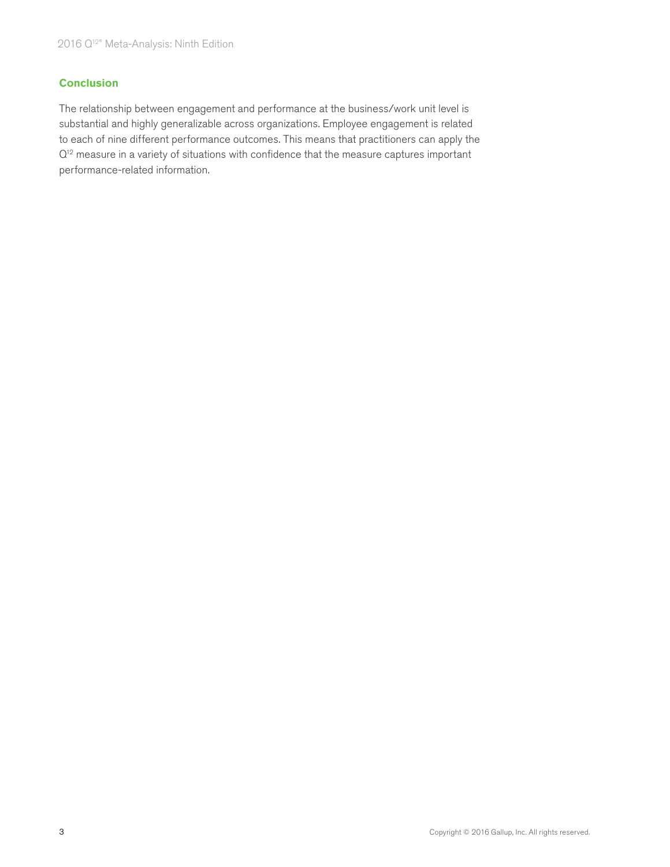### **Conclusion**

The relationship between engagement and performance at the business/work unit level is substantial and highly generalizable across organizations. Employee engagement is related to each of nine different performance outcomes. This means that practitioners can apply the  $Q^{12}$  measure in a variety of situations with confidence that the measure captures important performance-related information.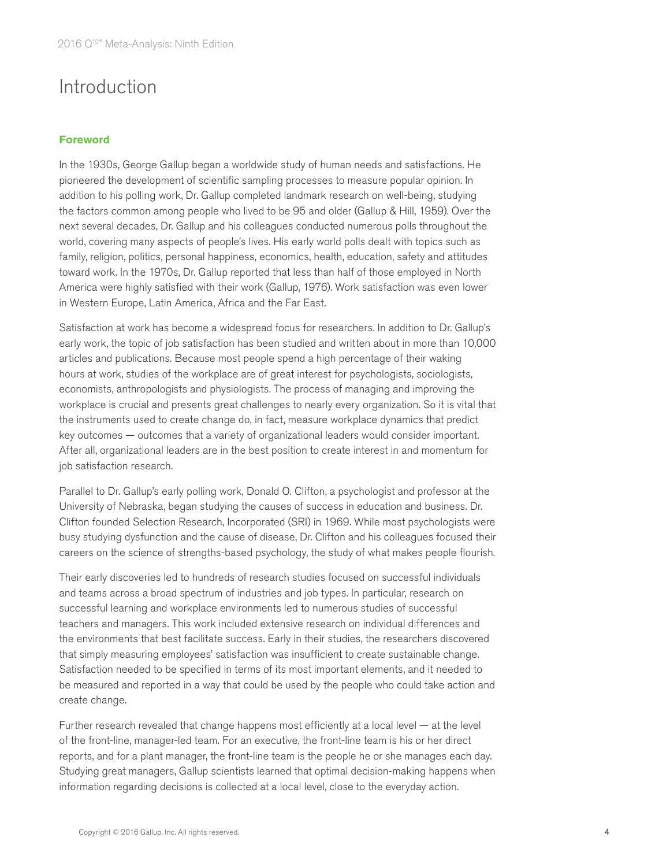## Introduction

#### **Foreword**

In the 1930s, George Gallup began a worldwide study of human needs and satisfactions. He pioneered the development of scientific sampling processes to measure popular opinion. In addition to his polling work, Dr. Gallup completed landmark research on well-being, studying the factors common among people who lived to be 95 and older (Gallup & Hill, 1959). Over the next several decades, Dr. Gallup and his colleagues conducted numerous polls throughout the world, covering many aspects of people's lives. His early world polls dealt with topics such as family, religion, politics, personal happiness, economics, health, education, safety and attitudes toward work. In the 1970s, Dr. Gallup reported that less than half of those employed in North America were highly satisfied with their work (Gallup, 1976). Work satisfaction was even lower in Western Europe, Latin America, Africa and the Far East.

Satisfaction at work has become a widespread focus for researchers. In addition to Dr. Gallup's early work, the topic of job satisfaction has been studied and written about in more than 10,000 articles and publications. Because most people spend a high percentage of their waking hours at work, studies of the workplace are of great interest for psychologists, sociologists, economists, anthropologists and physiologists. The process of managing and improving the workplace is crucial and presents great challenges to nearly every organization. So it is vital that the instruments used to create change do, in fact, measure workplace dynamics that predict key outcomes — outcomes that a variety of organizational leaders would consider important. After all, organizational leaders are in the best position to create interest in and momentum for job satisfaction research.

Parallel to Dr. Gallup's early polling work, Donald O. Clifton, a psychologist and professor at the University of Nebraska, began studying the causes of success in education and business. Dr. Clifton founded Selection Research, Incorporated (SRI) in 1969. While most psychologists were busy studying dysfunction and the cause of disease, Dr. Clifton and his colleagues focused their careers on the science of strengths-based psychology, the study of what makes people flourish.

Their early discoveries led to hundreds of research studies focused on successful individuals and teams across a broad spectrum of industries and job types. In particular, research on successful learning and workplace environments led to numerous studies of successful teachers and managers. This work included extensive research on individual differences and the environments that best facilitate success. Early in their studies, the researchers discovered that simply measuring employees' satisfaction was insufficient to create sustainable change. Satisfaction needed to be specified in terms of its most important elements, and it needed to be measured and reported in a way that could be used by the people who could take action and create change.

Further research revealed that change happens most efficiently at a local level — at the level of the front-line, manager-led team. For an executive, the front-line team is his or her direct reports, and for a plant manager, the front-line team is the people he or she manages each day. Studying great managers, Gallup scientists learned that optimal decision-making happens when information regarding decisions is collected at a local level, close to the everyday action.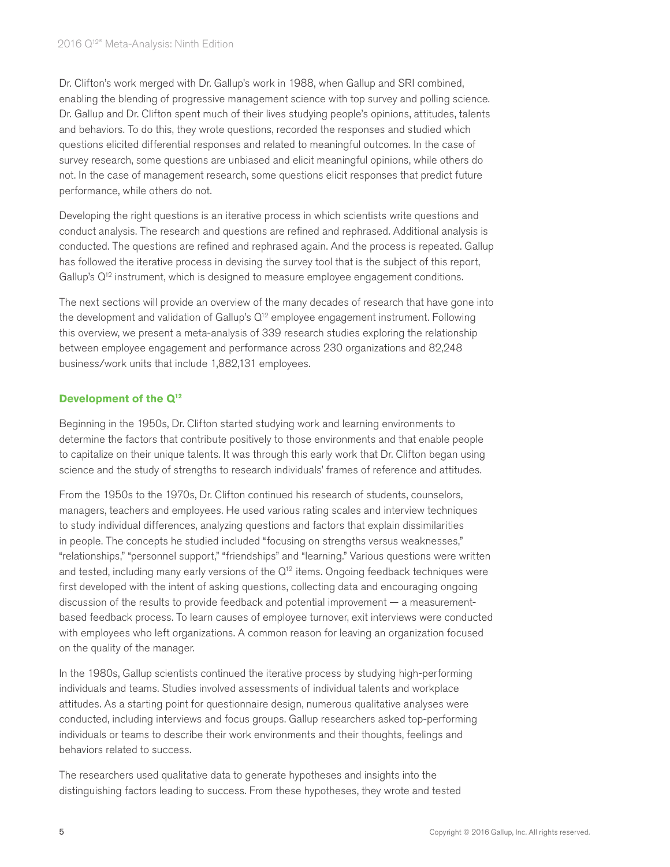Dr. Clifton's work merged with Dr. Gallup's work in 1988, when Gallup and SRI combined, enabling the blending of progressive management science with top survey and polling science. Dr. Gallup and Dr. Clifton spent much of their lives studying people's opinions, attitudes, talents and behaviors. To do this, they wrote questions, recorded the responses and studied which questions elicited differential responses and related to meaningful outcomes. In the case of survey research, some questions are unbiased and elicit meaningful opinions, while others do not. In the case of management research, some questions elicit responses that predict future performance, while others do not.

Developing the right questions is an iterative process in which scientists write questions and conduct analysis. The research and questions are refined and rephrased. Additional analysis is conducted. The questions are refined and rephrased again. And the process is repeated. Gallup has followed the iterative process in devising the survey tool that is the subject of this report, Gallup's  $Q^{12}$  instrument, which is designed to measure employee engagement conditions.

The next sections will provide an overview of the many decades of research that have gone into the development and validation of Gallup's  $Q<sup>12</sup>$  employee engagement instrument. Following this overview, we present a meta-analysis of 339 research studies exploring the relationship between employee engagement and performance across 230 organizations and 82,248 business/work units that include 1,882,131 employees.

### **Development of the Q12**

Beginning in the 1950s, Dr. Clifton started studying work and learning environments to determine the factors that contribute positively to those environments and that enable people to capitalize on their unique talents. It was through this early work that Dr. Clifton began using science and the study of strengths to research individuals' frames of reference and attitudes.

From the 1950s to the 1970s, Dr. Clifton continued his research of students, counselors, managers, teachers and employees. He used various rating scales and interview techniques to study individual differences, analyzing questions and factors that explain dissimilarities in people. The concepts he studied included "focusing on strengths versus weaknesses," "relationships," "personnel support," "friendships" and "learning." Various questions were written and tested, including many early versions of the  $Q^{12}$  items. Ongoing feedback techniques were first developed with the intent of asking questions, collecting data and encouraging ongoing discussion of the results to provide feedback and potential improvement — a measurementbased feedback process. To learn causes of employee turnover, exit interviews were conducted with employees who left organizations. A common reason for leaving an organization focused on the quality of the manager.

In the 1980s, Gallup scientists continued the iterative process by studying high-performing individuals and teams. Studies involved assessments of individual talents and workplace attitudes. As a starting point for questionnaire design, numerous qualitative analyses were conducted, including interviews and focus groups. Gallup researchers asked top-performing individuals or teams to describe their work environments and their thoughts, feelings and behaviors related to success.

The researchers used qualitative data to generate hypotheses and insights into the distinguishing factors leading to success. From these hypotheses, they wrote and tested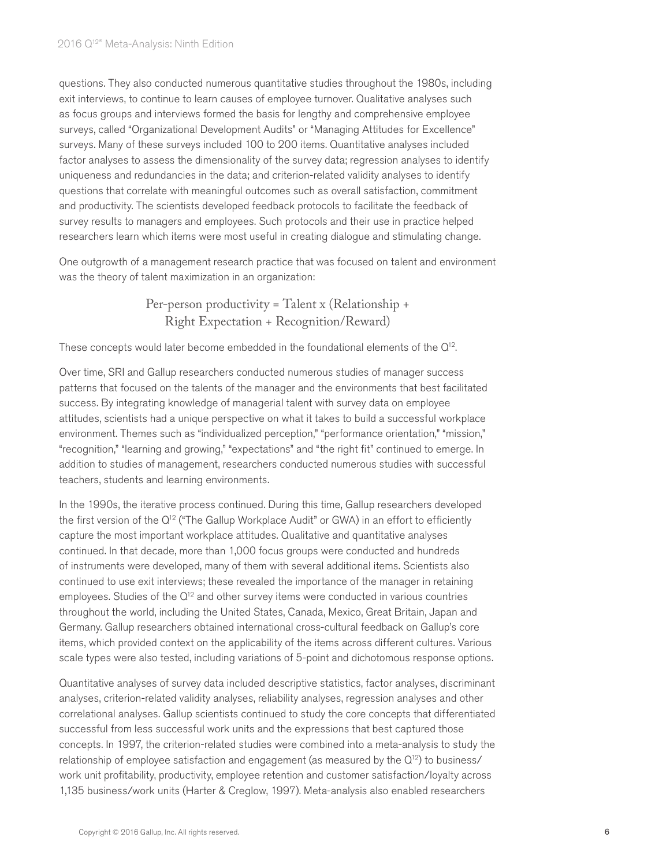questions. They also conducted numerous quantitative studies throughout the 1980s, including exit interviews, to continue to learn causes of employee turnover. Qualitative analyses such as focus groups and interviews formed the basis for lengthy and comprehensive employee surveys, called "Organizational Development Audits" or "Managing Attitudes for Excellence" surveys. Many of these surveys included 100 to 200 items. Quantitative analyses included factor analyses to assess the dimensionality of the survey data; regression analyses to identify uniqueness and redundancies in the data; and criterion-related validity analyses to identify questions that correlate with meaningful outcomes such as overall satisfaction, commitment and productivity. The scientists developed feedback protocols to facilitate the feedback of survey results to managers and employees. Such protocols and their use in practice helped researchers learn which items were most useful in creating dialogue and stimulating change.

One outgrowth of a management research practice that was focused on talent and environment was the theory of talent maximization in an organization:

> Per-person productivity = Talent x (Relationship + Right Expectation + Recognition/Reward)

These concepts would later become embedded in the foundational elements of the  $Q^{12}$ .

Over time, SRI and Gallup researchers conducted numerous studies of manager success patterns that focused on the talents of the manager and the environments that best facilitated success. By integrating knowledge of managerial talent with survey data on employee attitudes, scientists had a unique perspective on what it takes to build a successful workplace environment. Themes such as "individualized perception," "performance orientation," "mission," "recognition," "learning and growing," "expectations" and "the right fit" continued to emerge. In addition to studies of management, researchers conducted numerous studies with successful teachers, students and learning environments.

In the 1990s, the iterative process continued. During this time, Gallup researchers developed the first version of the  $Q^{12}$  ("The Gallup Workplace Audit" or GWA) in an effort to efficiently capture the most important workplace attitudes. Qualitative and quantitative analyses continued. In that decade, more than 1,000 focus groups were conducted and hundreds of instruments were developed, many of them with several additional items. Scientists also continued to use exit interviews; these revealed the importance of the manager in retaining employees. Studies of the  $Q^{12}$  and other survey items were conducted in various countries throughout the world, including the United States, Canada, Mexico, Great Britain, Japan and Germany. Gallup researchers obtained international cross-cultural feedback on Gallup's core items, which provided context on the applicability of the items across different cultures. Various scale types were also tested, including variations of 5-point and dichotomous response options.

Quantitative analyses of survey data included descriptive statistics, factor analyses, discriminant analyses, criterion-related validity analyses, reliability analyses, regression analyses and other correlational analyses. Gallup scientists continued to study the core concepts that differentiated successful from less successful work units and the expressions that best captured those concepts. In 1997, the criterion-related studies were combined into a meta-analysis to study the relationship of employee satisfaction and engagement (as measured by the  $Q^{(2)}$ ) to business/ work unit profitability, productivity, employee retention and customer satisfaction/loyalty across 1,135 business/work units (Harter & Creglow, 1997). Meta-analysis also enabled researchers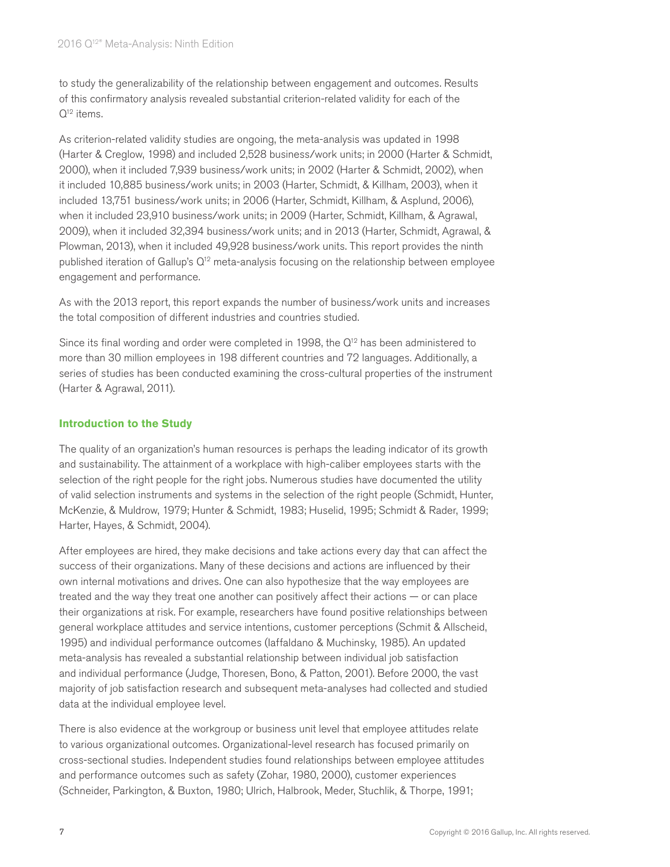to study the generalizability of the relationship between engagement and outcomes. Results of this confirmatory analysis revealed substantial criterion-related validity for each of the  $O<sup>12</sup>$  items.

As criterion-related validity studies are ongoing, the meta-analysis was updated in 1998 (Harter & Creglow, 1998) and included 2,528 business/work units; in 2000 (Harter & Schmidt, 2000), when it included 7,939 business/work units; in 2002 (Harter & Schmidt, 2002), when it included 10,885 business/work units; in 2003 (Harter, Schmidt, & Killham, 2003), when it included 13,751 business/work units; in 2006 (Harter, Schmidt, Killham, & Asplund, 2006), when it included 23,910 business/work units; in 2009 (Harter, Schmidt, Killham, & Agrawal, 2009), when it included 32,394 business/work units; and in 2013 (Harter, Schmidt, Agrawal, & Plowman, 2013), when it included 49,928 business/work units. This report provides the ninth published iteration of Gallup's  $Q^{12}$  meta-analysis focusing on the relationship between employee engagement and performance.

As with the 2013 report, this report expands the number of business/work units and increases the total composition of different industries and countries studied.

Since its final wording and order were completed in 1998, the  $Q^{12}$  has been administered to more than 30 million employees in 198 different countries and 72 languages. Additionally, a series of studies has been conducted examining the cross-cultural properties of the instrument (Harter & Agrawal, 2011).

### **Introduction to the Study**

The quality of an organization's human resources is perhaps the leading indicator of its growth and sustainability. The attainment of a workplace with high-caliber employees starts with the selection of the right people for the right jobs. Numerous studies have documented the utility of valid selection instruments and systems in the selection of the right people (Schmidt, Hunter, McKenzie, & Muldrow, 1979; Hunter & Schmidt, 1983; Huselid, 1995; Schmidt & Rader, 1999; Harter, Hayes, & Schmidt, 2004).

After employees are hired, they make decisions and take actions every day that can affect the success of their organizations. Many of these decisions and actions are influenced by their own internal motivations and drives. One can also hypothesize that the way employees are treated and the way they treat one another can positively affect their actions — or can place their organizations at risk. For example, researchers have found positive relationships between general workplace attitudes and service intentions, customer perceptions (Schmit & Allscheid, 1995) and individual performance outcomes (Iaffaldano & Muchinsky, 1985). An updated meta-analysis has revealed a substantial relationship between individual job satisfaction and individual performance (Judge, Thoresen, Bono, & Patton, 2001). Before 2000, the vast majority of job satisfaction research and subsequent meta-analyses had collected and studied data at the individual employee level.

There is also evidence at the workgroup or business unit level that employee attitudes relate to various organizational outcomes. Organizational-level research has focused primarily on cross-sectional studies. Independent studies found relationships between employee attitudes and performance outcomes such as safety (Zohar, 1980, 2000), customer experiences (Schneider, Parkington, & Buxton, 1980; Ulrich, Halbrook, Meder, Stuchlik, & Thorpe, 1991;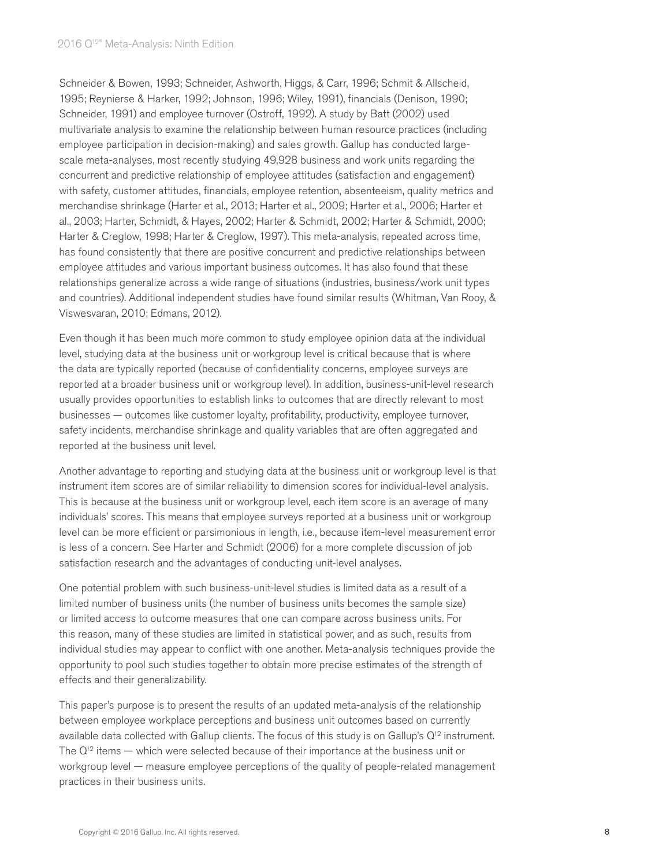Schneider & Bowen, 1993; Schneider, Ashworth, Higgs, & Carr, 1996; Schmit & Allscheid, 1995; Reynierse & Harker, 1992; Johnson, 1996; Wiley, 1991), financials (Denison, 1990; Schneider, 1991) and employee turnover (Ostroff, 1992). A study by Batt (2002) used multivariate analysis to examine the relationship between human resource practices (including employee participation in decision-making) and sales growth. Gallup has conducted largescale meta-analyses, most recently studying 49,928 business and work units regarding the concurrent and predictive relationship of employee attitudes (satisfaction and engagement) with safety, customer attitudes, financials, employee retention, absenteeism, quality metrics and merchandise shrinkage (Harter et al., 2013; Harter et al., 2009; Harter et al., 2006; Harter et al., 2003; Harter, Schmidt, & Hayes, 2002; Harter & Schmidt, 2002; Harter & Schmidt, 2000; Harter & Creglow, 1998; Harter & Creglow, 1997). This meta-analysis, repeated across time, has found consistently that there are positive concurrent and predictive relationships between employee attitudes and various important business outcomes. It has also found that these relationships generalize across a wide range of situations (industries, business/work unit types and countries). Additional independent studies have found similar results (Whitman, Van Rooy, & Viswesvaran, 2010; Edmans, 2012).

Even though it has been much more common to study employee opinion data at the individual level, studying data at the business unit or workgroup level is critical because that is where the data are typically reported (because of confidentiality concerns, employee surveys are reported at a broader business unit or workgroup level). In addition, business-unit-level research usually provides opportunities to establish links to outcomes that are directly relevant to most businesses — outcomes like customer loyalty, profitability, productivity, employee turnover, safety incidents, merchandise shrinkage and quality variables that are often aggregated and reported at the business unit level.

Another advantage to reporting and studying data at the business unit or workgroup level is that instrument item scores are of similar reliability to dimension scores for individual-level analysis. This is because at the business unit or workgroup level, each item score is an average of many individuals' scores. This means that employee surveys reported at a business unit or workgroup level can be more efficient or parsimonious in length, i.e., because item-level measurement error is less of a concern. See Harter and Schmidt (2006) for a more complete discussion of job satisfaction research and the advantages of conducting unit-level analyses.

One potential problem with such business-unit-level studies is limited data as a result of a limited number of business units (the number of business units becomes the sample size) or limited access to outcome measures that one can compare across business units. For this reason, many of these studies are limited in statistical power, and as such, results from individual studies may appear to conflict with one another. Meta-analysis techniques provide the opportunity to pool such studies together to obtain more precise estimates of the strength of effects and their generalizability.

This paper's purpose is to present the results of an updated meta-analysis of the relationship between employee workplace perceptions and business unit outcomes based on currently available data collected with Gallup clients. The focus of this study is on Gallup's  $Q^{12}$  instrument. The  $Q^{12}$  items — which were selected because of their importance at the business unit or workgroup level — measure employee perceptions of the quality of people-related management practices in their business units.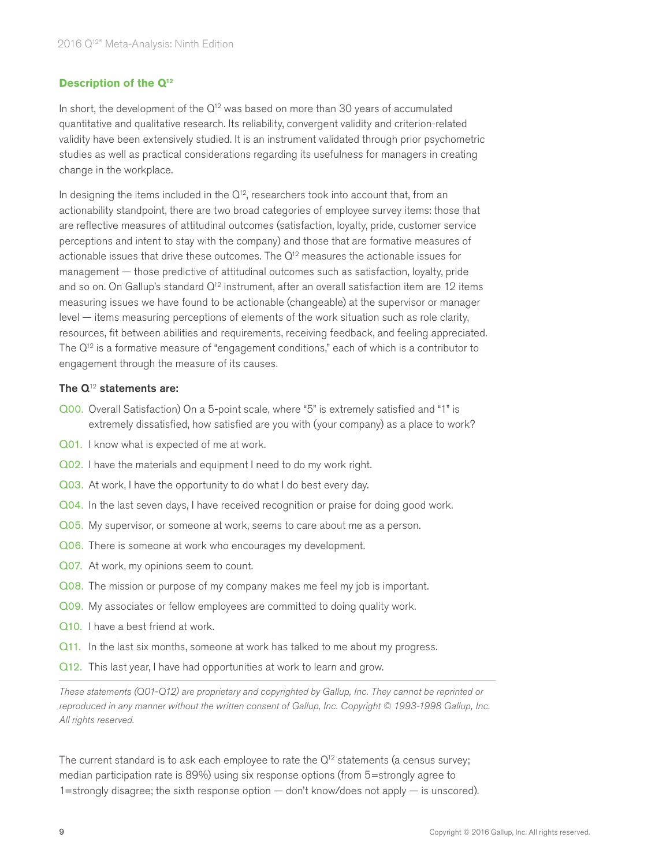#### **Description of the Q12**

In short, the development of the Q<sup>12</sup> was based on more than 30 years of accumulated quantitative and qualitative research. Its reliability, convergent validity and criterion-related validity have been extensively studied. It is an instrument validated through prior psychometric studies as well as practical considerations regarding its usefulness for managers in creating change in the workplace.

In designing the items included in the  $Q^{12}$ , researchers took into account that, from an actionability standpoint, there are two broad categories of employee survey items: those that are reflective measures of attitudinal outcomes (satisfaction, loyalty, pride, customer service perceptions and intent to stay with the company) and those that are formative measures of actionable issues that drive these outcomes. The  $Q^{12}$  measures the actionable issues for management — those predictive of attitudinal outcomes such as satisfaction, loyalty, pride and so on. On Gallup's standard  $Q^{12}$  instrument, after an overall satisfaction item are 12 items measuring issues we have found to be actionable (changeable) at the supervisor or manager level — items measuring perceptions of elements of the work situation such as role clarity, resources, fit between abilities and requirements, receiving feedback, and feeling appreciated. The  $Q^{12}$  is a formative measure of "engagement conditions," each of which is a contributor to engagement through the measure of its causes.

#### The  $\mathbf{\Omega}^{12}$  statements are:

- Q00. Overall Satisfaction) On a 5-point scale, where "5" is extremely satisfied and "1" is extremely dissatisfied, how satisfied are you with (your company) as a place to work?
- Q01. I know what is expected of me at work.
- Q02. I have the materials and equipment I need to do my work right.
- Q03. At work, I have the opportunity to do what I do best every day.
- Q04. In the last seven days, I have received recognition or praise for doing good work.
- Q05. My supervisor, or someone at work, seems to care about me as a person.
- Q06. There is someone at work who encourages my development.
- Q07. At work, my opinions seem to count.
- Q08. The mission or purpose of my company makes me feel my job is important.
- Q09. My associates or fellow employees are committed to doing quality work.
- Q10. I have a best friend at work.
- Q11. In the last six months, someone at work has talked to me about my progress.
- Q12. This last year, I have had opportunities at work to learn and grow.

*These statements (Q01-Q12) are proprietary and copyrighted by Gallup, Inc. They cannot be reprinted or reproduced in any manner without the written consent of Gallup, Inc. Copyright © 1993-1998 Gallup, Inc. All rights reserved.*

The current standard is to ask each employee to rate the  $Q^{12}$  statements (a census survey; median participation rate is 89%) using six response options (from 5=strongly agree to 1=strongly disagree; the sixth response option — don't know/does not apply — is unscored).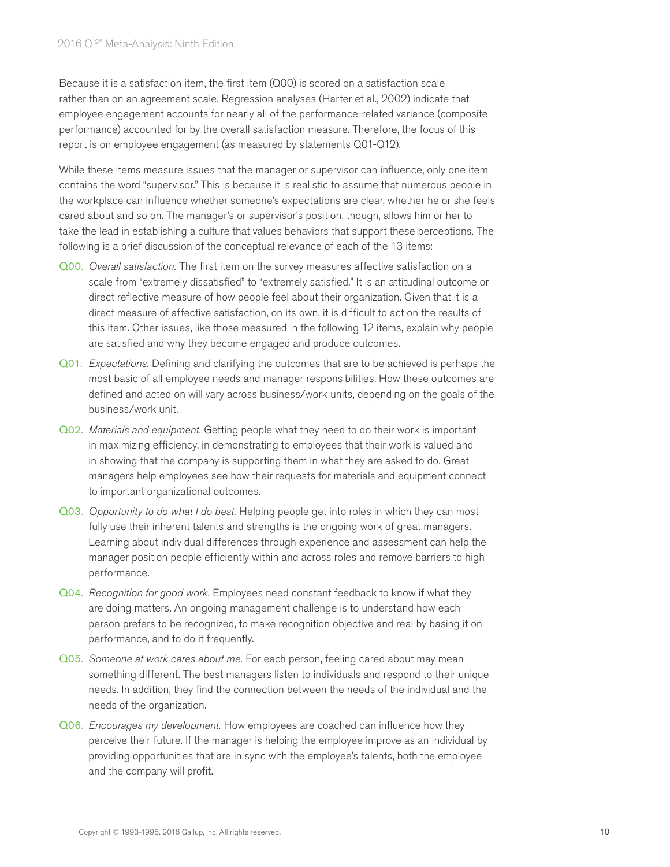Because it is a satisfaction item, the first item (Q00) is scored on a satisfaction scale rather than on an agreement scale. Regression analyses (Harter et al., 2002) indicate that employee engagement accounts for nearly all of the performance-related variance (composite performance) accounted for by the overall satisfaction measure. Therefore, the focus of this report is on employee engagement (as measured by statements Q01-Q12).

While these items measure issues that the manager or supervisor can influence, only one item contains the word "supervisor." This is because it is realistic to assume that numerous people in the workplace can influence whether someone's expectations are clear, whether he or she feels cared about and so on. The manager's or supervisor's position, though, allows him or her to take the lead in establishing a culture that values behaviors that support these perceptions. The following is a brief discussion of the conceptual relevance of each of the 13 items:

- Q00. *Overall satisfaction.* The first item on the survey measures affective satisfaction on a scale from "extremely dissatisfied" to "extremely satisfied." It is an attitudinal outcome or direct reflective measure of how people feel about their organization. Given that it is a direct measure of affective satisfaction, on its own, it is difficult to act on the results of this item. Other issues, like those measured in the following 12 items, explain why people are satisfied and why they become engaged and produce outcomes.
- Q01. *Expectations.* Defining and clarifying the outcomes that are to be achieved is perhaps the most basic of all employee needs and manager responsibilities. How these outcomes are defined and acted on will vary across business/work units, depending on the goals of the business/work unit.
- Q02. *Materials and equipment.* Getting people what they need to do their work is important in maximizing efficiency, in demonstrating to employees that their work is valued and in showing that the company is supporting them in what they are asked to do. Great managers help employees see how their requests for materials and equipment connect to important organizational outcomes.
- Q03. *Opportunity to do what I do best.* Helping people get into roles in which they can most fully use their inherent talents and strengths is the ongoing work of great managers. Learning about individual differences through experience and assessment can help the manager position people efficiently within and across roles and remove barriers to high performance.
- Q04. *Recognition for good work.* Employees need constant feedback to know if what they are doing matters. An ongoing management challenge is to understand how each person prefers to be recognized, to make recognition objective and real by basing it on performance, and to do it frequently.
- Q05. *Someone at work cares about me.* For each person, feeling cared about may mean something different. The best managers listen to individuals and respond to their unique needs. In addition, they find the connection between the needs of the individual and the needs of the organization.
- Q06. *Encourages my development.* How employees are coached can influence how they perceive their future. If the manager is helping the employee improve as an individual by providing opportunities that are in sync with the employee's talents, both the employee and the company will profit.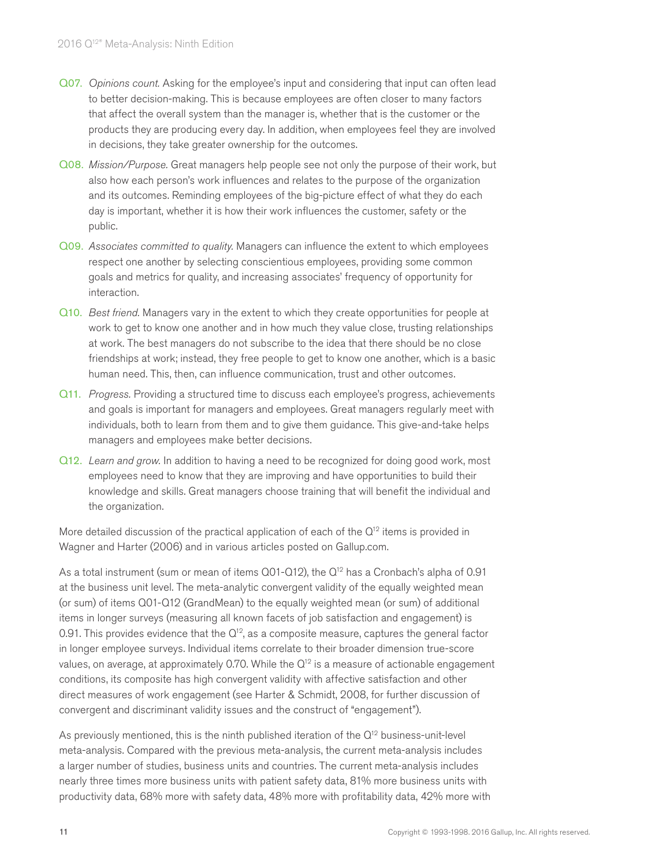- Q07. *Opinions count.* Asking for the employee's input and considering that input can often lead to better decision-making. This is because employees are often closer to many factors that affect the overall system than the manager is, whether that is the customer or the products they are producing every day. In addition, when employees feel they are involved in decisions, they take greater ownership for the outcomes.
- Q08. *Mission/Purpose.* Great managers help people see not only the purpose of their work, but also how each person's work influences and relates to the purpose of the organization and its outcomes. Reminding employees of the big-picture effect of what they do each day is important, whether it is how their work influences the customer, safety or the public.
- Q09. *Associates committed to quality.* Managers can influence the extent to which employees respect one another by selecting conscientious employees, providing some common goals and metrics for quality, and increasing associates' frequency of opportunity for interaction.
- Q10. *Best friend.* Managers vary in the extent to which they create opportunities for people at work to get to know one another and in how much they value close, trusting relationships at work. The best managers do not subscribe to the idea that there should be no close friendships at work; instead, they free people to get to know one another, which is a basic human need. This, then, can influence communication, trust and other outcomes.
- Q11. *Progress.* Providing a structured time to discuss each employee's progress, achievements and goals is important for managers and employees. Great managers regularly meet with individuals, both to learn from them and to give them guidance. This give-and-take helps managers and employees make better decisions.
- Q12. *Learn and grow.* In addition to having a need to be recognized for doing good work, most employees need to know that they are improving and have opportunities to build their knowledge and skills. Great managers choose training that will benefit the individual and the organization.

More detailed discussion of the practical application of each of the  $Q<sup>12</sup>$  items is provided in Wagner and Harter (2006) and in various articles posted on Gallup.com.

As a total instrument (sum or mean of items  $QO1-Q12$ ), the  $Q^{12}$  has a Cronbach's alpha of 0.91 at the business unit level. The meta-analytic convergent validity of the equally weighted mean (or sum) of items Q01-Q12 (GrandMean) to the equally weighted mean (or sum) of additional items in longer surveys (measuring all known facets of job satisfaction and engagement) is 0.91. This provides evidence that the  $Q^{12}$ , as a composite measure, captures the general factor in longer employee surveys. Individual items correlate to their broader dimension true-score values, on average, at approximately 0.70. While the Q<sup>12</sup> is a measure of actionable engagement conditions, its composite has high convergent validity with affective satisfaction and other direct measures of work engagement (see Harter & Schmidt, 2008, for further discussion of convergent and discriminant validity issues and the construct of "engagement").

As previously mentioned, this is the ninth published iteration of the  $Q^{12}$  business-unit-level meta-analysis. Compared with the previous meta-analysis, the current meta-analysis includes a larger number of studies, business units and countries. The current meta-analysis includes nearly three times more business units with patient safety data, 81% more business units with productivity data, 68% more with safety data, 48% more with profitability data, 42% more with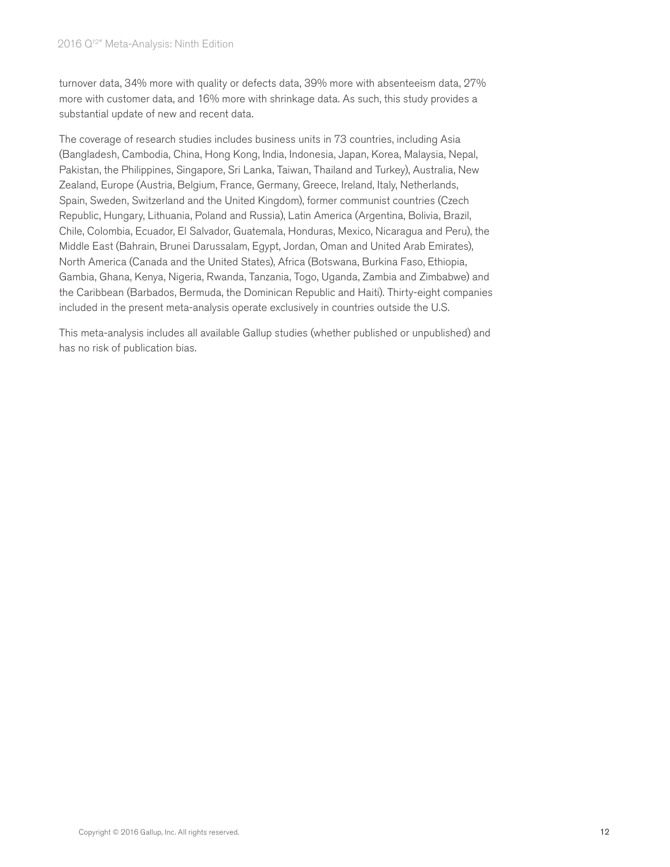turnover data, 34% more with quality or defects data, 39% more with absenteeism data, 27% more with customer data, and 16% more with shrinkage data. As such, this study provides a substantial update of new and recent data.

The coverage of research studies includes business units in 73 countries, including Asia (Bangladesh, Cambodia, China, Hong Kong, India, Indonesia, Japan, Korea, Malaysia, Nepal, Pakistan, the Philippines, Singapore, Sri Lanka, Taiwan, Thailand and Turkey), Australia, New Zealand, Europe (Austria, Belgium, France, Germany, Greece, Ireland, Italy, Netherlands, Spain, Sweden, Switzerland and the United Kingdom), former communist countries (Czech Republic, Hungary, Lithuania, Poland and Russia), Latin America (Argentina, Bolivia, Brazil, Chile, Colombia, Ecuador, El Salvador, Guatemala, Honduras, Mexico, Nicaragua and Peru), the Middle East (Bahrain, Brunei Darussalam, Egypt, Jordan, Oman and United Arab Emirates), North America (Canada and the United States), Africa (Botswana, Burkina Faso, Ethiopia, Gambia, Ghana, Kenya, Nigeria, Rwanda, Tanzania, Togo, Uganda, Zambia and Zimbabwe) and the Caribbean (Barbados, Bermuda, the Dominican Republic and Haiti). Thirty-eight companies included in the present meta-analysis operate exclusively in countries outside the U.S.

This meta-analysis includes all available Gallup studies (whether published or unpublished) and has no risk of publication bias.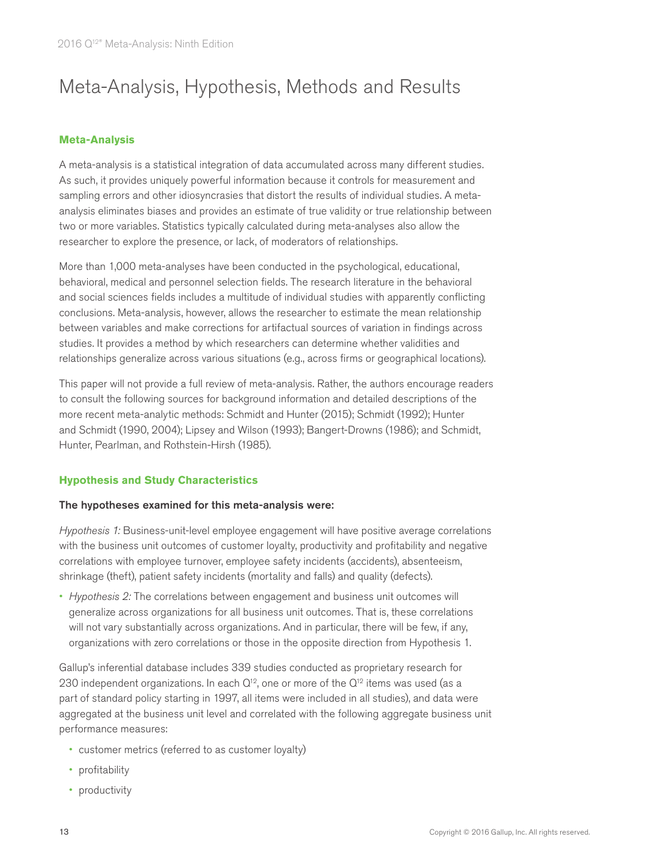# Meta-Analysis, Hypothesis, Methods and Results

### **Meta-Analysis**

A meta-analysis is a statistical integration of data accumulated across many different studies. As such, it provides uniquely powerful information because it controls for measurement and sampling errors and other idiosyncrasies that distort the results of individual studies. A metaanalysis eliminates biases and provides an estimate of true validity or true relationship between two or more variables. Statistics typically calculated during meta-analyses also allow the researcher to explore the presence, or lack, of moderators of relationships.

More than 1,000 meta-analyses have been conducted in the psychological, educational, behavioral, medical and personnel selection fields. The research literature in the behavioral and social sciences fields includes a multitude of individual studies with apparently conflicting conclusions. Meta-analysis, however, allows the researcher to estimate the mean relationship between variables and make corrections for artifactual sources of variation in findings across studies. It provides a method by which researchers can determine whether validities and relationships generalize across various situations (e.g., across firms or geographical locations).

This paper will not provide a full review of meta-analysis. Rather, the authors encourage readers to consult the following sources for background information and detailed descriptions of the more recent meta-analytic methods: Schmidt and Hunter (2015); Schmidt (1992); Hunter and Schmidt (1990, 2004); Lipsey and Wilson (1993); Bangert-Drowns (1986); and Schmidt, Hunter, Pearlman, and Rothstein-Hirsh (1985).

### **Hypothesis and Study Characteristics**

#### The hypotheses examined for this meta-analysis were:

*Hypothesis 1:* Business-unit-level employee engagement will have positive average correlations with the business unit outcomes of customer loyalty, productivity and profitability and negative correlations with employee turnover, employee safety incidents (accidents), absenteeism, shrinkage (theft), patient safety incidents (mortality and falls) and quality (defects).

• *Hypothesis 2:* The correlations between engagement and business unit outcomes will generalize across organizations for all business unit outcomes. That is, these correlations will not vary substantially across organizations. And in particular, there will be few, if any, organizations with zero correlations or those in the opposite direction from Hypothesis 1.

Gallup's inferential database includes 339 studies conducted as proprietary research for 230 independent organizations. In each  $Q^{12}$ , one or more of the  $Q^{12}$  items was used (as a part of standard policy starting in 1997, all items were included in all studies), and data were aggregated at the business unit level and correlated with the following aggregate business unit performance measures:

- customer metrics (referred to as customer loyalty)
- profitability
- productivity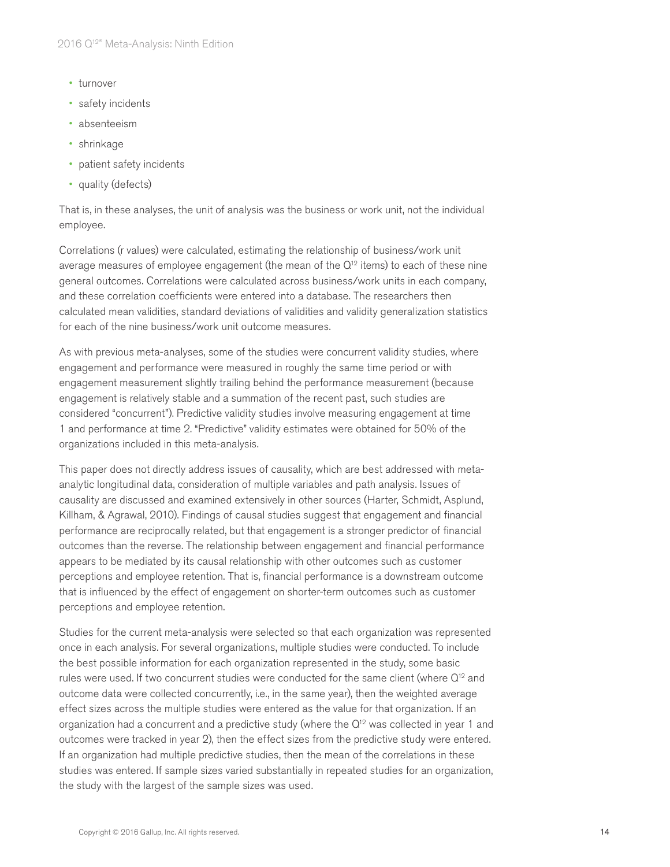- turnover
- safety incidents
- absenteeism
- shrinkage
- patient safety incidents
- quality (defects)

That is, in these analyses, the unit of analysis was the business or work unit, not the individual employee.

Correlations (r values) were calculated, estimating the relationship of business/work unit average measures of employee engagement (the mean of the  $Q<sup>12</sup>$  items) to each of these nine general outcomes. Correlations were calculated across business/work units in each company, and these correlation coefficients were entered into a database. The researchers then calculated mean validities, standard deviations of validities and validity generalization statistics for each of the nine business/work unit outcome measures.

As with previous meta-analyses, some of the studies were concurrent validity studies, where engagement and performance were measured in roughly the same time period or with engagement measurement slightly trailing behind the performance measurement (because engagement is relatively stable and a summation of the recent past, such studies are considered "concurrent"). Predictive validity studies involve measuring engagement at time 1 and performance at time 2. "Predictive" validity estimates were obtained for 50% of the organizations included in this meta-analysis.

This paper does not directly address issues of causality, which are best addressed with metaanalytic longitudinal data, consideration of multiple variables and path analysis. Issues of causality are discussed and examined extensively in other sources (Harter, Schmidt, Asplund, Killham, & Agrawal, 2010). Findings of causal studies suggest that engagement and financial performance are reciprocally related, but that engagement is a stronger predictor of financial outcomes than the reverse. The relationship between engagement and financial performance appears to be mediated by its causal relationship with other outcomes such as customer perceptions and employee retention. That is, financial performance is a downstream outcome that is influenced by the effect of engagement on shorter-term outcomes such as customer perceptions and employee retention.

Studies for the current meta-analysis were selected so that each organization was represented once in each analysis. For several organizations, multiple studies were conducted. To include the best possible information for each organization represented in the study, some basic rules were used. If two concurrent studies were conducted for the same client (where  $Q^{12}$  and outcome data were collected concurrently, i.e., in the same year), then the weighted average effect sizes across the multiple studies were entered as the value for that organization. If an organization had a concurrent and a predictive study (where the  $Q^{12}$  was collected in year 1 and outcomes were tracked in year 2), then the effect sizes from the predictive study were entered. If an organization had multiple predictive studies, then the mean of the correlations in these studies was entered. If sample sizes varied substantially in repeated studies for an organization, the study with the largest of the sample sizes was used.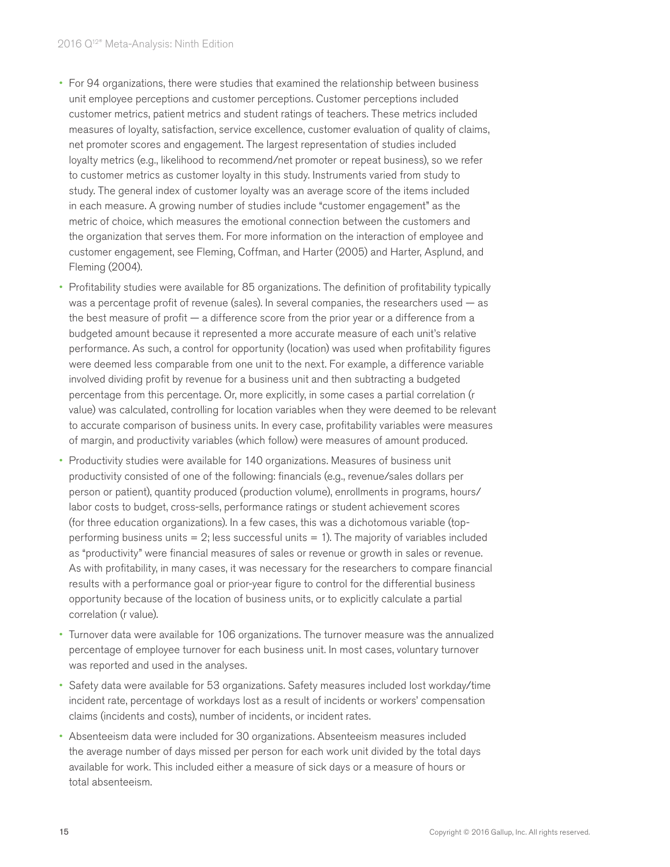- For 94 organizations, there were studies that examined the relationship between business unit employee perceptions and customer perceptions. Customer perceptions included customer metrics, patient metrics and student ratings of teachers. These metrics included measures of loyalty, satisfaction, service excellence, customer evaluation of quality of claims, net promoter scores and engagement. The largest representation of studies included loyalty metrics (e.g., likelihood to recommend/net promoter or repeat business), so we refer to customer metrics as customer loyalty in this study. Instruments varied from study to study. The general index of customer loyalty was an average score of the items included in each measure. A growing number of studies include "customer engagement" as the metric of choice, which measures the emotional connection between the customers and the organization that serves them. For more information on the interaction of employee and customer engagement, see Fleming, Coffman, and Harter (2005) and Harter, Asplund, and Fleming (2004).
- Profitability studies were available for 85 organizations. The definition of profitability typically was a percentage profit of revenue (sales). In several companies, the researchers used — as the best measure of profit  $-$  a difference score from the prior year or a difference from a budgeted amount because it represented a more accurate measure of each unit's relative performance. As such, a control for opportunity (location) was used when profitability figures were deemed less comparable from one unit to the next. For example, a difference variable involved dividing profit by revenue for a business unit and then subtracting a budgeted percentage from this percentage. Or, more explicitly, in some cases a partial correlation (r value) was calculated, controlling for location variables when they were deemed to be relevant to accurate comparison of business units. In every case, profitability variables were measures of margin, and productivity variables (which follow) were measures of amount produced.
- Productivity studies were available for 140 organizations. Measures of business unit productivity consisted of one of the following: financials (e.g., revenue/sales dollars per person or patient), quantity produced (production volume), enrollments in programs, hours/ labor costs to budget, cross-sells, performance ratings or student achievement scores (for three education organizations). In a few cases, this was a dichotomous variable (topperforming business units  $= 2$ ; less successful units  $= 1$ ). The majority of variables included as "productivity" were financial measures of sales or revenue or growth in sales or revenue. As with profitability, in many cases, it was necessary for the researchers to compare financial results with a performance goal or prior-year figure to control for the differential business opportunity because of the location of business units, or to explicitly calculate a partial correlation (r value).
- Turnover data were available for 106 organizations. The turnover measure was the annualized percentage of employee turnover for each business unit. In most cases, voluntary turnover was reported and used in the analyses.
- Safety data were available for 53 organizations. Safety measures included lost workday/time incident rate, percentage of workdays lost as a result of incidents or workers' compensation claims (incidents and costs), number of incidents, or incident rates.
- Absenteeism data were included for 30 organizations. Absenteeism measures included the average number of days missed per person for each work unit divided by the total days available for work. This included either a measure of sick days or a measure of hours or total absenteeism.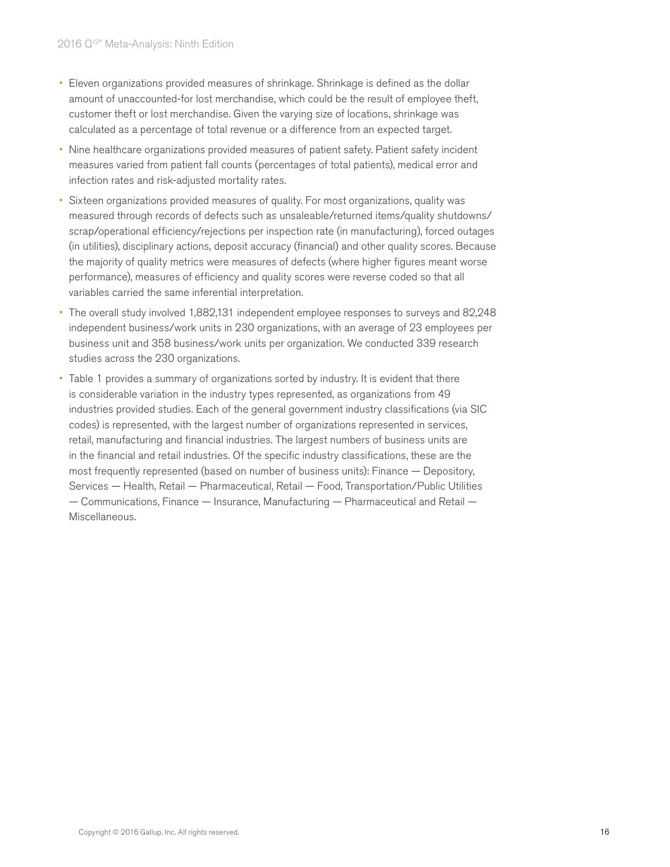- Eleven organizations provided measures of shrinkage. Shrinkage is defined as the dollar amount of unaccounted-for lost merchandise, which could be the result of employee theft, customer theft or lost merchandise. Given the varying size of locations, shrinkage was calculated as a percentage of total revenue or a difference from an expected target.
- Nine healthcare organizations provided measures of patient safety. Patient safety incident measures varied from patient fall counts (percentages of total patients), medical error and infection rates and risk-adjusted mortality rates.
- Sixteen organizations provided measures of quality. For most organizations, quality was measured through records of defects such as unsaleable/returned items/quality shutdowns/ scrap/operational efficiency/rejections per inspection rate (in manufacturing), forced outages (in utilities), disciplinary actions, deposit accuracy (financial) and other quality scores. Because the majority of quality metrics were measures of defects (where higher figures meant worse performance), measures of efficiency and quality scores were reverse coded so that all variables carried the same inferential interpretation.
- The overall study involved 1,882,131 independent employee responses to surveys and 82,248 independent business/work units in 230 organizations, with an average of 23 employees per business unit and 358 business/work units per organization. We conducted 339 research studies across the 230 organizations.
- Table 1 provides a summary of organizations sorted by industry. It is evident that there is considerable variation in the industry types represented, as organizations from 49 industries provided studies. Each of the general government industry classifications (via SIC codes) is represented, with the largest number of organizations represented in services, retail, manufacturing and financial industries. The largest numbers of business units are in the financial and retail industries. Of the specific industry classifications, these are the most frequently represented (based on number of business units): Finance — Depository, Services — Health, Retail — Pharmaceutical, Retail — Food, Transportation/Public Utilities — Communications, Finance — Insurance, Manufacturing — Pharmaceutical and Retail — Miscellaneous.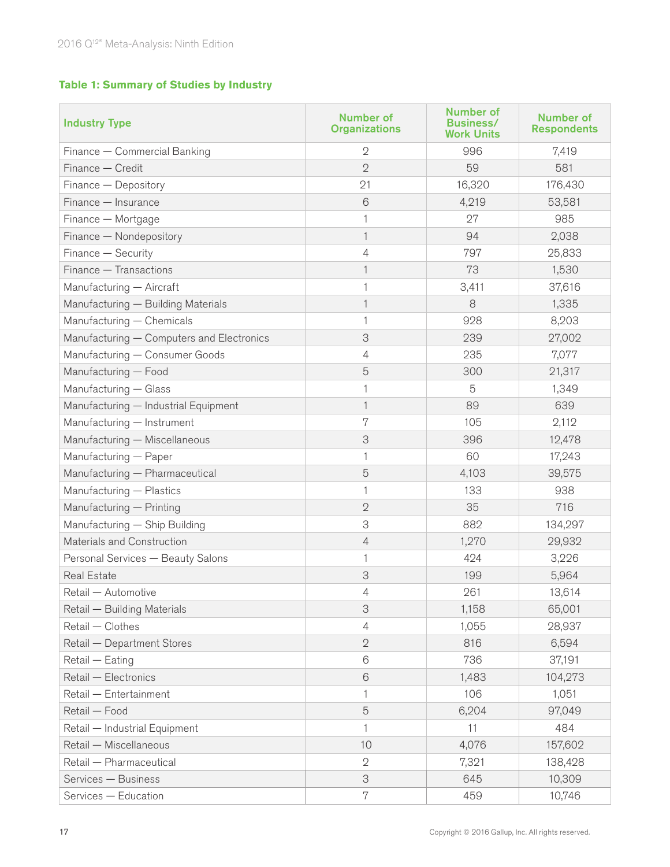### **Table 1: Summary of Studies by Industry**

| <b>Industry Type</b>                      | <b>Number of</b><br><b>Organizations</b> | Number of<br><b>Business/</b><br><b>Work Units</b> | <b>Number of</b><br><b>Respondents</b> |
|-------------------------------------------|------------------------------------------|----------------------------------------------------|----------------------------------------|
| Finance - Commercial Banking              | 2                                        | 996                                                | 7,419                                  |
| Finance - Credit                          | $\overline{2}$                           | 59                                                 | 581                                    |
| Finance - Depository                      | 21                                       | 16,320                                             | 176,430                                |
| Finance - Insurance                       | 6                                        | 4,219                                              | 53,581                                 |
| Finance - Mortgage                        | 1                                        | 27                                                 | 985                                    |
| Finance - Nondepository                   | $\mathbf{1}$                             | 94                                                 | 2,038                                  |
| Finance - Security                        | 4                                        | 797                                                | 25,833                                 |
| Finance - Transactions                    | 1                                        | 73                                                 | 1,530                                  |
| Manufacturing - Aircraft                  | $\mathbf{1}$                             | 3,411                                              | 37,616                                 |
| Manufacturing - Building Materials        | 1                                        | 8                                                  | 1,335                                  |
| Manufacturing - Chemicals                 | 1                                        | 928                                                | 8,203                                  |
| Manufacturing - Computers and Electronics | 3                                        | 239                                                | 27,002                                 |
| Manufacturing - Consumer Goods            | 4                                        | 235                                                | 7,077                                  |
| Manufacturing - Food                      | 5                                        | 300                                                | 21,317                                 |
| Manufacturing - Glass                     | 1                                        | 5                                                  | 1,349                                  |
| Manufacturing - Industrial Equipment      | $\mathbf{1}$                             | 89                                                 | 639                                    |
| Manufacturing - Instrument                | 7                                        | 105                                                | 2,112                                  |
| Manufacturing - Miscellaneous             | 3                                        | 396                                                | 12,478                                 |
| Manufacturing - Paper                     | 1                                        | 60                                                 | 17,243                                 |
| Manufacturing - Pharmaceutical            | 5                                        | 4,103                                              | 39,575                                 |
| Manufacturing - Plastics                  | 1                                        | 133                                                | 938                                    |
| Manufacturing - Printing                  | $\mathbf{2}$                             | 35                                                 | 716                                    |
| Manufacturing - Ship Building             | 3                                        | 882                                                | 134,297                                |
| Materials and Construction                | 4                                        | 1,270                                              | 29,932                                 |
| Personal Services - Beauty Salons         | 1                                        | 424                                                | 3,226                                  |
| Real Estate                               | 3                                        | 199                                                | 5,964                                  |
| Retail - Automotive                       | 4                                        | 261                                                | 13,614                                 |
| Retail - Building Materials               | 3                                        | 1,158                                              | 65,001                                 |
| Retail - Clothes                          | 4                                        | 1,055                                              | 28,937                                 |
| Retail - Department Stores                | $\sqrt{2}$                               | 816                                                | 6,594                                  |
| Retail - Eating                           | 6                                        | 736                                                | 37,191                                 |
| Retail - Electronics                      | 6                                        | 1,483                                              | 104,273                                |
| Retail - Entertainment                    |                                          | 106                                                | 1,051                                  |
| Retail - Food                             | 5                                        | 6,204                                              | 97,049                                 |
| Retail - Industrial Equipment             | 1                                        | 11                                                 | 484                                    |
| Retail - Miscellaneous                    | 10                                       | 4,076                                              | 157,602                                |
| Retail - Pharmaceutical                   | $\sqrt{2}$                               | 7,321                                              | 138,428                                |
| Services - Business                       | 3                                        | 645                                                | 10,309                                 |
| Services - Education                      | 7                                        | 459                                                | 10,746                                 |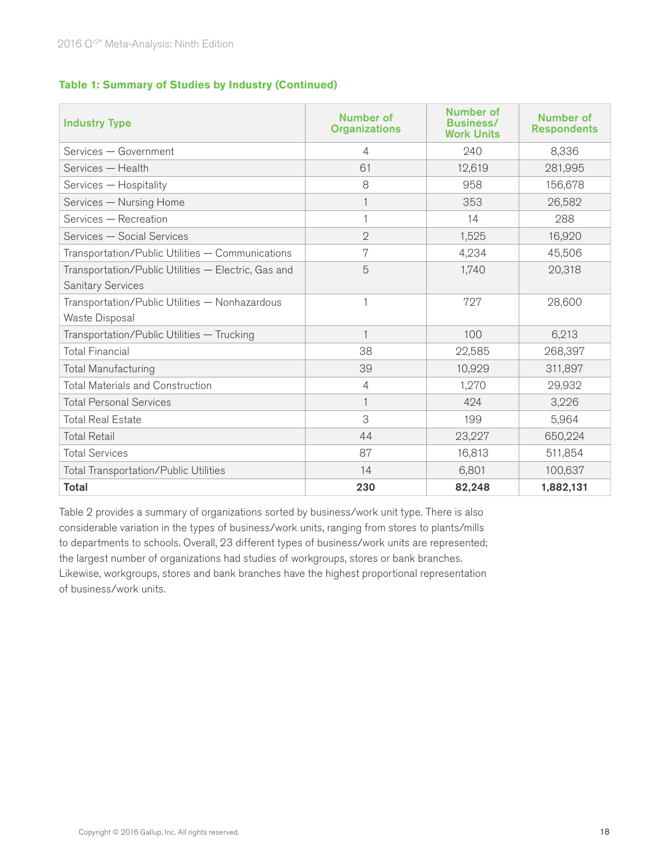### **Table 1: Summary of Studies by Industry (Continued)**

| <b>Industry Type</b>                                | Number of<br><b>Organizations</b> | <b>Number of</b><br><b>Business/</b><br><b>Work Units</b> | Number of<br><b>Respondents</b> |
|-----------------------------------------------------|-----------------------------------|-----------------------------------------------------------|---------------------------------|
| Services - Government                               | 4                                 | 240                                                       | 8,336                           |
| Services - Health                                   | 61                                | 12,619                                                    | 281,995                         |
| Services - Hospitality                              | 8                                 | 958                                                       | 156,678                         |
| Services - Nursing Home                             |                                   | 353                                                       | 26,582                          |
| Services - Recreation                               |                                   | 14                                                        | 288                             |
| Services - Social Services                          | $\mathbf{2}$                      | 1,525                                                     | 16,920                          |
| Transportation/Public Utilities - Communications    | 7                                 | 4,234                                                     | 45,506                          |
| Transportation/Public Utilities - Electric, Gas and | 5                                 | 1,740                                                     | 20,318                          |
| <b>Sanitary Services</b>                            |                                   |                                                           |                                 |
| Transportation/Public Utilities - Nonhazardous      |                                   | 727                                                       | 28,600                          |
| Waste Disposal                                      |                                   |                                                           |                                 |
| Transportation/Public Utilities - Trucking          | $\mathbf{1}$                      | 100                                                       | 6,213                           |
| <b>Total Financial</b>                              | 38                                | 22,585                                                    | 268,397                         |
| <b>Total Manufacturing</b>                          | 39                                | 10,929                                                    | 311,897                         |
| <b>Total Materials and Construction</b>             | 4                                 | 1,270                                                     | 29,932                          |
| <b>Total Personal Services</b>                      |                                   | 424                                                       | 3,226                           |
| <b>Total Real Estate</b>                            | 3                                 | 199                                                       | 5,964                           |
| <b>Total Retail</b>                                 | 44                                | 23,227                                                    | 650,224                         |
| <b>Total Services</b>                               | 87                                | 16,813                                                    | 511,854                         |
| <b>Total Transportation/Public Utilities</b>        | 14                                | 6,801                                                     | 100,637                         |
| <b>Total</b>                                        | 230                               | 82,248                                                    | 1,882,131                       |

Table 2 provides a summary of organizations sorted by business/work unit type. There is also considerable variation in the types of business/work units, ranging from stores to plants/mills to departments to schools. Overall, 23 different types of business/work units are represented; the largest number of organizations had studies of workgroups, stores or bank branches. Likewise, workgroups, stores and bank branches have the highest proportional representation of business/work units.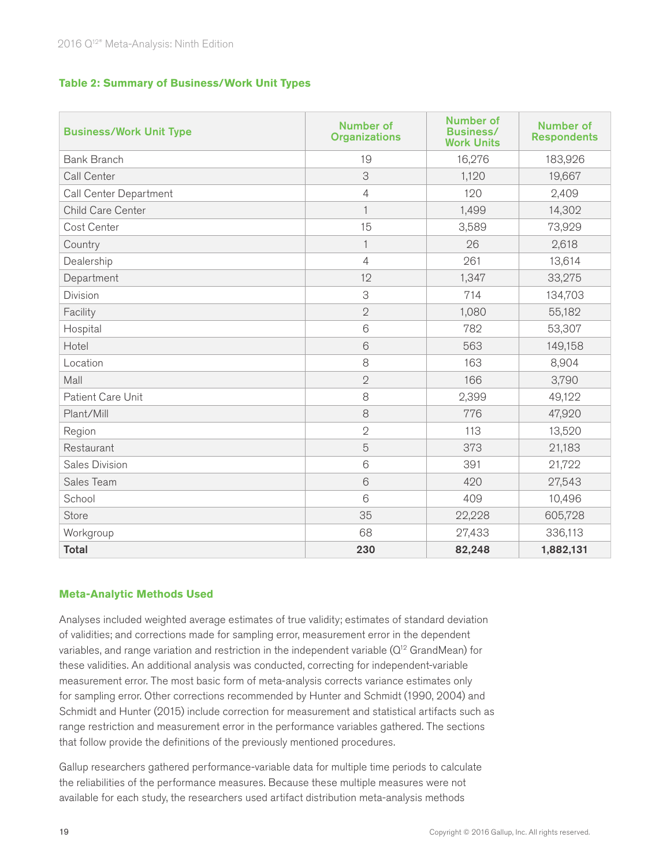### **Table 2: Summary of Business/Work Unit Types**

| <b>Business/Work Unit Type</b> | <b>Number of</b><br><b>Organizations</b> | <b>Number of</b><br><b>Business/</b><br><b>Work Units</b> | <b>Number of</b><br><b>Respondents</b> |
|--------------------------------|------------------------------------------|-----------------------------------------------------------|----------------------------------------|
| <b>Bank Branch</b>             | 19                                       | 16,276                                                    | 183,926                                |
| Call Center                    | 3                                        | 1,120                                                     | 19,667                                 |
| Call Center Department         | $\overline{4}$                           | 120                                                       | 2,409                                  |
| Child Care Center              | 1                                        | 1,499                                                     | 14,302                                 |
| Cost Center                    | 15                                       | 3,589                                                     | 73,929                                 |
| Country                        | $\mathbf{1}$                             | 26                                                        | 2,618                                  |
| Dealership                     | $\overline{4}$                           | 261                                                       | 13,614                                 |
| Department                     | 12                                       | 1,347                                                     | 33,275                                 |
| Division                       | 3                                        | 714                                                       | 134,703                                |
| Facility                       | $\overline{2}$                           | 1,080                                                     | 55,182                                 |
| Hospital                       | 6                                        | 782                                                       | 53,307                                 |
| Hotel                          | 6                                        | 563                                                       | 149,158                                |
| Location                       | 8                                        | 163                                                       | 8,904                                  |
| Mall                           | $\overline{2}$                           | 166                                                       | 3,790                                  |
| Patient Care Unit              | 8                                        | 2,399                                                     | 49,122                                 |
| Plant/Mill                     | 8                                        | 776                                                       | 47,920                                 |
| Region                         | $\overline{2}$                           | 113                                                       | 13,520                                 |
| Restaurant                     | 5                                        | 373                                                       | 21,183                                 |
| <b>Sales Division</b>          | 6                                        | 391                                                       | 21,722                                 |
| Sales Team                     | 6                                        | 420                                                       | 27,543                                 |
| School                         | 6                                        | 409                                                       | 10,496                                 |
| Store                          | 35                                       | 22,228                                                    | 605,728                                |
| Workgroup                      | 68                                       | 27,433                                                    | 336,113                                |
| <b>Total</b>                   | 230                                      | 82,248                                                    | 1,882,131                              |

#### **Meta-Analytic Methods Used**

Analyses included weighted average estimates of true validity; estimates of standard deviation of validities; and corrections made for sampling error, measurement error in the dependent variables, and range variation and restriction in the independent variable  $(Q<sup>12</sup> GrandMean)$  for these validities. An additional analysis was conducted, correcting for independent-variable measurement error. The most basic form of meta-analysis corrects variance estimates only for sampling error. Other corrections recommended by Hunter and Schmidt (1990, 2004) and Schmidt and Hunter (2015) include correction for measurement and statistical artifacts such as range restriction and measurement error in the performance variables gathered. The sections that follow provide the definitions of the previously mentioned procedures.

Gallup researchers gathered performance-variable data for multiple time periods to calculate the reliabilities of the performance measures. Because these multiple measures were not available for each study, the researchers used artifact distribution meta-analysis methods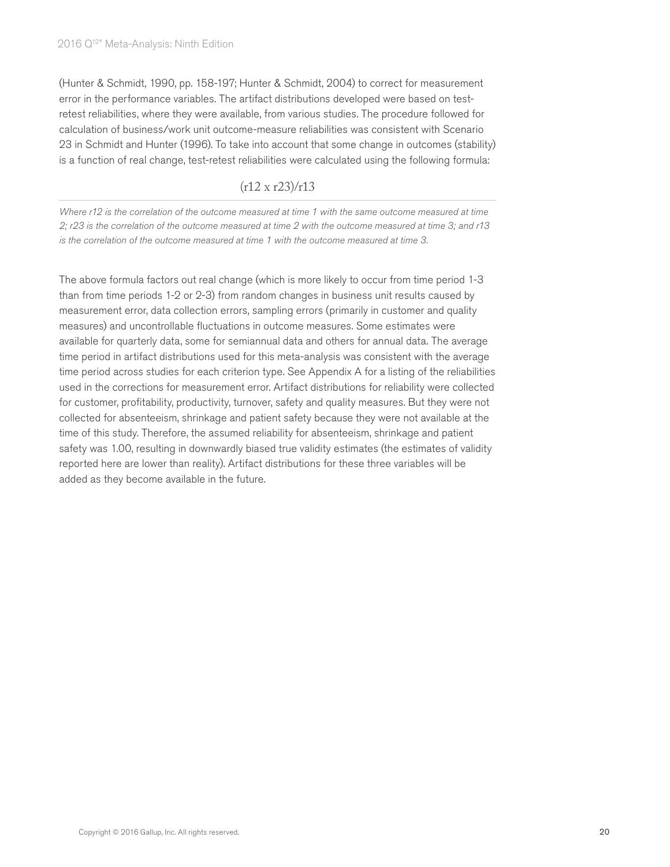(Hunter & Schmidt, 1990, pp. 158-197; Hunter & Schmidt, 2004) to correct for measurement error in the performance variables. The artifact distributions developed were based on testretest reliabilities, where they were available, from various studies. The procedure followed for calculation of business/work unit outcome-measure reliabilities was consistent with Scenario 23 in Schmidt and Hunter (1996). To take into account that some change in outcomes (stability) is a function of real change, test-retest reliabilities were calculated using the following formula:

## (r12 x r23)/r13

*Where r12 is the correlation of the outcome measured at time 1 with the same outcome measured at time 2; r23 is the correlation of the outcome measured at time 2 with the outcome measured at time 3; and r13 is the correlation of the outcome measured at time 1 with the outcome measured at time 3.*

The above formula factors out real change (which is more likely to occur from time period 1-3 than from time periods 1-2 or 2-3) from random changes in business unit results caused by measurement error, data collection errors, sampling errors (primarily in customer and quality measures) and uncontrollable fluctuations in outcome measures. Some estimates were available for quarterly data, some for semiannual data and others for annual data. The average time period in artifact distributions used for this meta-analysis was consistent with the average time period across studies for each criterion type. See Appendix A for a listing of the reliabilities used in the corrections for measurement error. Artifact distributions for reliability were collected for customer, profitability, productivity, turnover, safety and quality measures. But they were not collected for absenteeism, shrinkage and patient safety because they were not available at the time of this study. Therefore, the assumed reliability for absenteeism, shrinkage and patient safety was 1.00, resulting in downwardly biased true validity estimates (the estimates of validity reported here are lower than reality). Artifact distributions for these three variables will be added as they become available in the future.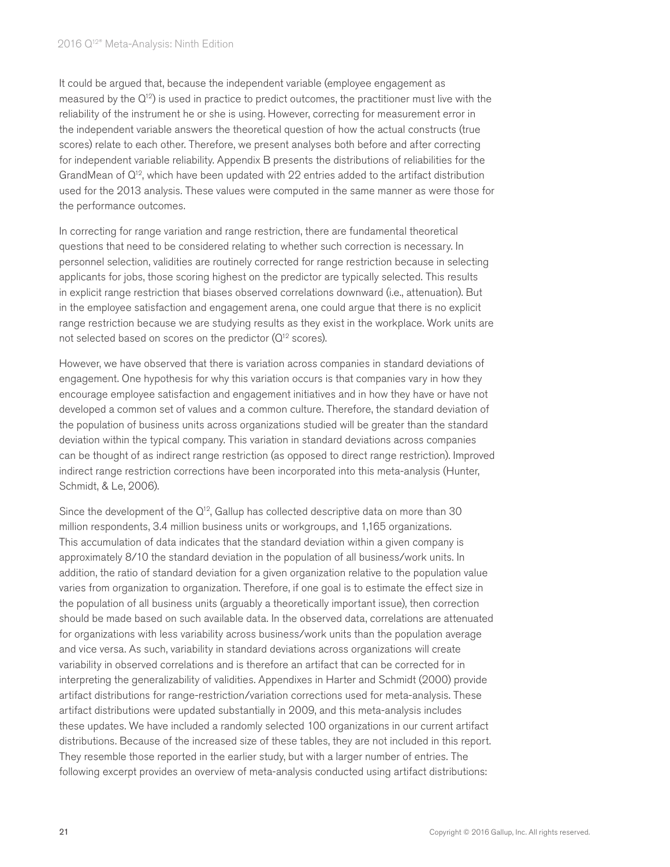It could be argued that, because the independent variable (employee engagement as measured by the  $Q^{12}$ ) is used in practice to predict outcomes, the practitioner must live with the reliability of the instrument he or she is using. However, correcting for measurement error in the independent variable answers the theoretical question of how the actual constructs (true scores) relate to each other. Therefore, we present analyses both before and after correcting for independent variable reliability. Appendix B presents the distributions of reliabilities for the GrandMean of  $Q^{12}$ , which have been updated with 22 entries added to the artifact distribution used for the 2013 analysis. These values were computed in the same manner as were those for the performance outcomes.

In correcting for range variation and range restriction, there are fundamental theoretical questions that need to be considered relating to whether such correction is necessary. In personnel selection, validities are routinely corrected for range restriction because in selecting applicants for jobs, those scoring highest on the predictor are typically selected. This results in explicit range restriction that biases observed correlations downward (i.e., attenuation). But in the employee satisfaction and engagement arena, one could argue that there is no explicit range restriction because we are studying results as they exist in the workplace. Work units are not selected based on scores on the predictor  $(Q<sup>12</sup>$  scores).

However, we have observed that there is variation across companies in standard deviations of engagement. One hypothesis for why this variation occurs is that companies vary in how they encourage employee satisfaction and engagement initiatives and in how they have or have not developed a common set of values and a common culture. Therefore, the standard deviation of the population of business units across organizations studied will be greater than the standard deviation within the typical company. This variation in standard deviations across companies can be thought of as indirect range restriction (as opposed to direct range restriction). Improved indirect range restriction corrections have been incorporated into this meta-analysis (Hunter, Schmidt, & Le, 2006).

Since the development of the  $Q^{12}$ , Gallup has collected descriptive data on more than 30 million respondents, 3.4 million business units or workgroups, and 1,165 organizations. This accumulation of data indicates that the standard deviation within a given company is approximately 8/10 the standard deviation in the population of all business/work units. In addition, the ratio of standard deviation for a given organization relative to the population value varies from organization to organization. Therefore, if one goal is to estimate the effect size in the population of all business units (arguably a theoretically important issue), then correction should be made based on such available data. In the observed data, correlations are attenuated for organizations with less variability across business/work units than the population average and vice versa. As such, variability in standard deviations across organizations will create variability in observed correlations and is therefore an artifact that can be corrected for in interpreting the generalizability of validities. Appendixes in Harter and Schmidt (2000) provide artifact distributions for range-restriction/variation corrections used for meta-analysis. These artifact distributions were updated substantially in 2009, and this meta-analysis includes these updates. We have included a randomly selected 100 organizations in our current artifact distributions. Because of the increased size of these tables, they are not included in this report. They resemble those reported in the earlier study, but with a larger number of entries. The following excerpt provides an overview of meta-analysis conducted using artifact distributions: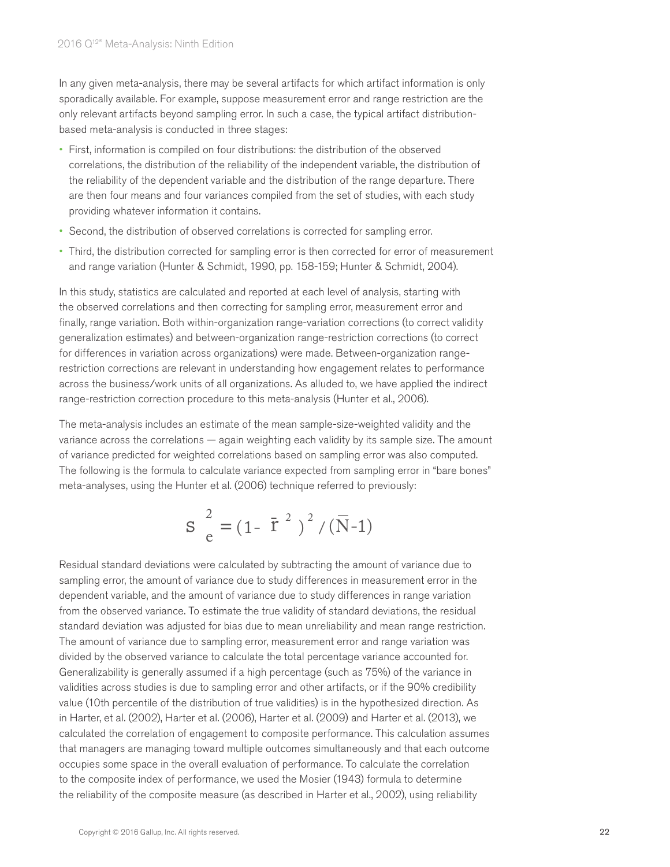In any given meta-analysis, there may be several artifacts for which artifact information is only sporadically available. For example, suppose measurement error and range restriction are the only relevant artifacts beyond sampling error. In such a case, the typical artifact distributionbased meta-analysis is conducted in three stages:

- First, information is compiled on four distributions: the distribution of the observed correlations, the distribution of the reliability of the independent variable, the distribution of the reliability of the dependent variable and the distribution of the range departure. There are then four means and four variances compiled from the set of studies, with each study providing whatever information it contains.
- Second, the distribution of observed correlations is corrected for sampling error.
- Third, the distribution corrected for sampling error is then corrected for error of measurement and range variation (Hunter & Schmidt, 1990, pp. 158-159; Hunter & Schmidt, 2004).

In this study, statistics are calculated and reported at each level of analysis, starting with the observed correlations and then correcting for sampling error, measurement error and finally, range variation. Both within-organization range-variation corrections (to correct validity generalization estimates) and between-organization range-restriction corrections (to correct for differences in variation across organizations) were made. Between-organization rangerestriction corrections are relevant in understanding how engagement relates to performance across the business/work units of all organizations. As alluded to, we have applied the indirect range-restriction correction procedure to this meta-analysis (Hunter et al., 2006).

The meta-analysis includes an estimate of the mean sample-size-weighted validity and the variance across the correlations — again weighting each validity by its sample size. The amount of variance predicted for weighted correlations based on sampling error was also computed. The following is the formula to calculate variance expected from sampling error in "bare bones" meta-analyses, using the Hunter et al. (2006) technique referred to previously:

$$
s^{2} = (1 - \bar{r}^{2})^{2} / (\bar{N} - 1)
$$

Residual standard deviations were calculated by subtracting the amount of variance due to sampling error, the amount of variance due to study differences in measurement error in the dependent variable, and the amount of variance due to study differences in range variation from the observed variance. To estimate the true validity of standard deviations, the residual standard deviation was adjusted for bias due to mean unreliability and mean range restriction. The amount of variance due to sampling error, measurement error and range variation was divided by the observed variance to calculate the total percentage variance accounted for. Generalizability is generally assumed if a high percentage (such as 75%) of the variance in validities across studies is due to sampling error and other artifacts, or if the 90% credibility value (10th percentile of the distribution of true validities) is in the hypothesized direction. As in Harter, et al. (2002), Harter et al. (2006), Harter et al. (2009) and Harter et al. (2013), we calculated the correlation of engagement to composite performance. This calculation assumes that managers are managing toward multiple outcomes simultaneously and that each outcome occupies some space in the overall evaluation of performance. To calculate the correlation to the composite index of performance, we used the Mosier (1943) formula to determine the reliability of the composite measure (as described in Harter et al., 2002), using reliability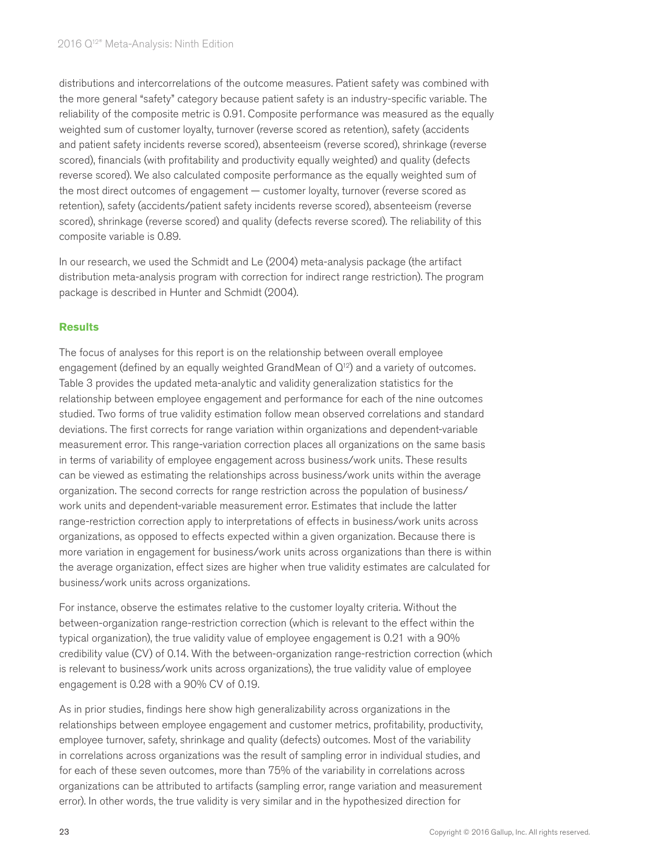distributions and intercorrelations of the outcome measures. Patient safety was combined with the more general "safety" category because patient safety is an industry-specific variable. The reliability of the composite metric is 0.91. Composite performance was measured as the equally weighted sum of customer loyalty, turnover (reverse scored as retention), safety (accidents and patient safety incidents reverse scored), absenteeism (reverse scored), shrinkage (reverse scored), financials (with profitability and productivity equally weighted) and quality (defects reverse scored). We also calculated composite performance as the equally weighted sum of the most direct outcomes of engagement — customer loyalty, turnover (reverse scored as retention), safety (accidents/patient safety incidents reverse scored), absenteeism (reverse scored), shrinkage (reverse scored) and quality (defects reverse scored). The reliability of this composite variable is 0.89.

In our research, we used the Schmidt and Le (2004) meta-analysis package (the artifact distribution meta-analysis program with correction for indirect range restriction). The program package is described in Hunter and Schmidt (2004).

### **Results**

The focus of analyses for this report is on the relationship between overall employee engagement (defined by an equally weighted GrandMean of  $Q^{12}$ ) and a variety of outcomes. Table 3 provides the updated meta-analytic and validity generalization statistics for the relationship between employee engagement and performance for each of the nine outcomes studied. Two forms of true validity estimation follow mean observed correlations and standard deviations. The first corrects for range variation within organizations and dependent-variable measurement error. This range-variation correction places all organizations on the same basis in terms of variability of employee engagement across business/work units. These results can be viewed as estimating the relationships across business/work units within the average organization. The second corrects for range restriction across the population of business/ work units and dependent-variable measurement error. Estimates that include the latter range-restriction correction apply to interpretations of effects in business/work units across organizations, as opposed to effects expected within a given organization. Because there is more variation in engagement for business/work units across organizations than there is within the average organization, effect sizes are higher when true validity estimates are calculated for business/work units across organizations.

For instance, observe the estimates relative to the customer loyalty criteria. Without the between-organization range-restriction correction (which is relevant to the effect within the typical organization), the true validity value of employee engagement is 0.21 with a 90% credibility value (CV) of 0.14. With the between-organization range-restriction correction (which is relevant to business/work units across organizations), the true validity value of employee engagement is 0.28 with a 90% CV of 0.19.

As in prior studies, findings here show high generalizability across organizations in the relationships between employee engagement and customer metrics, profitability, productivity, employee turnover, safety, shrinkage and quality (defects) outcomes. Most of the variability in correlations across organizations was the result of sampling error in individual studies, and for each of these seven outcomes, more than 75% of the variability in correlations across organizations can be attributed to artifacts (sampling error, range variation and measurement error). In other words, the true validity is very similar and in the hypothesized direction for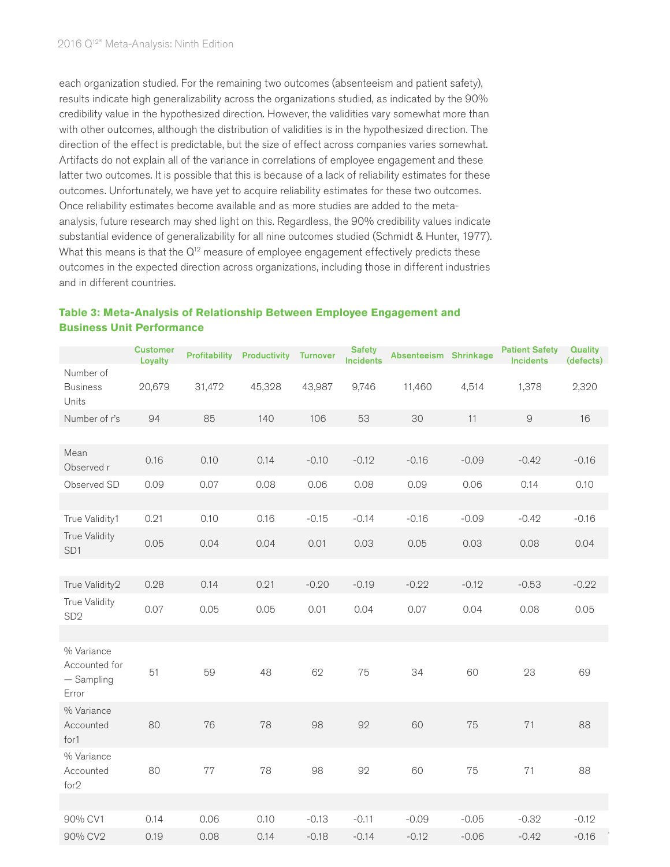each organization studied. For the remaining two outcomes (absenteeism and patient safety), results indicate high generalizability across the organizations studied, as indicated by the 90% credibility value in the hypothesized direction. However, the validities vary somewhat more than with other outcomes, although the distribution of validities is in the hypothesized direction. The direction of the effect is predictable, but the size of effect across companies varies somewhat. Artifacts do not explain all of the variance in correlations of employee engagement and these latter two outcomes. It is possible that this is because of a lack of reliability estimates for these outcomes. Unfortunately, we have yet to acquire reliability estimates for these two outcomes. Once reliability estimates become available and as more studies are added to the metaanalysis, future research may shed light on this. Regardless, the 90% credibility values indicate substantial evidence of generalizability for all nine outcomes studied (Schmidt & Hunter, 1977). What this means is that the  $Q^{12}$  measure of employee engagement effectively predicts these outcomes in the expected direction across organizations, including those in different industries and in different countries.

### **Table 3: Meta-Analysis of Relationship Between Employee Engagement and Business Unit Performance**

|                                                      | <b>Customer</b><br>Loyalty | <b>Profitability</b> | Productivity | <b>Turnover</b> | <b>Safety</b><br>Incidents | Absenteeism Shrinkage |         | <b>Patient Safety</b><br><b>Incidents</b> | <b>Quality</b><br>(defects) |
|------------------------------------------------------|----------------------------|----------------------|--------------|-----------------|----------------------------|-----------------------|---------|-------------------------------------------|-----------------------------|
| Number of                                            |                            |                      |              |                 |                            |                       |         |                                           |                             |
| <b>Business</b><br>Units                             | 20,679                     | 31,472               | 45,328       | 43,987          | 9,746                      | 11,460                | 4,514   | 1,378                                     | 2,320                       |
| Number of r's                                        | 94                         | 85                   | 140          | 106             | 53                         | 30                    | 11      | $\hbox{9}$                                | 16                          |
| Mean<br>Observed r                                   | 0.16                       | 0.10                 | 0.14         | $-0.10$         | $-0.12$                    | $-0.16$               | $-0.09$ | $-0.42$                                   | $-0.16$                     |
| Observed SD                                          | 0.09                       | 0.07                 | 0.08         | 0.06            | 0.08                       | 0.09                  | 0.06    | 0.14                                      | 0.10                        |
|                                                      |                            |                      |              |                 |                            |                       |         |                                           |                             |
| True Validity1                                       | 0.21                       | 0.10                 | 0.16         | $-0.15$         | $-0.14$                    | $-0.16$               | $-0.09$ | $-0.42$                                   | $-0.16$                     |
| True Validity<br>SD <sub>1</sub>                     | 0.05                       | 0.04                 | 0.04         | 0.01            | 0.03                       | 0.05                  | 0.03    | 0.08                                      | 0.04                        |
|                                                      |                            |                      |              |                 |                            |                       |         |                                           |                             |
| True Validity2                                       | 0.28                       | 0.14                 | 0.21         | $-0.20$         | $-0.19$                    | $-0.22$               | $-0.12$ | $-0.53$                                   | $-0.22$                     |
| True Validity<br>SD <sub>2</sub>                     | 0.07                       | 0.05                 | 0.05         | 0.01            | 0.04                       | 0.07                  | 0.04    | 0.08                                      | 0.05                        |
|                                                      |                            |                      |              |                 |                            |                       |         |                                           |                             |
| % Variance<br>Accounted for<br>$-$ Sampling<br>Error | 51                         | 59                   | 48           | 62              | 75                         | 34                    | 60      | 23                                        | 69                          |
| % Variance<br>Accounted<br>for1                      | 80                         | 76                   | 78           | 98              | 92                         | 60                    | 75      | 71                                        | 88                          |
| % Variance<br>Accounted<br>for2                      | 80                         | 77                   | 78           | 98              | 92                         | 60                    | 75      | 71                                        | 88                          |
|                                                      |                            |                      |              |                 |                            |                       |         |                                           |                             |
| 90% CV1                                              | 0.14                       | 0.06                 | 0.10         | $-0.13$         | $-0.11$                    | $-0.09$               | $-0.05$ | $-0.32$                                   | $-0.12$                     |
| 90% CV2                                              | 0.19                       | 0.08                 | 0.14         | $-0.18$         | $-0.14$                    | $-0.12$               | $-0.06$ | $-0.42$                                   | $-0.16$                     |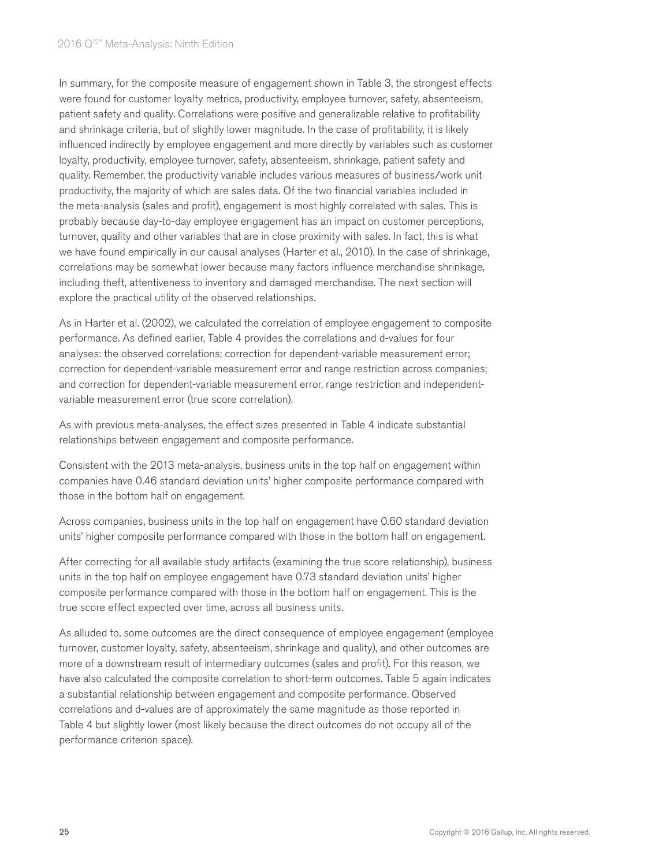In summary, for the composite measure of engagement shown in Table 3, the strongest effects were found for customer loyalty metrics, productivity, employee turnover, safety, absenteeism, patient safety and quality. Correlations were positive and generalizable relative to profitability and shrinkage criteria, but of slightly lower magnitude. In the case of profitability, it is likely influenced indirectly by employee engagement and more directly by variables such as customer loyalty, productivity, employee turnover, safety, absenteeism, shrinkage, patient safety and quality. Remember, the productivity variable includes various measures of business/work unit productivity, the majority of which are sales data. Of the two financial variables included in the meta-analysis (sales and profit), engagement is most highly correlated with sales. This is probably because day-to-day employee engagement has an impact on customer perceptions, turnover, quality and other variables that are in close proximity with sales. In fact, this is what we have found empirically in our causal analyses (Harter et al., 2010). In the case of shrinkage, correlations may be somewhat lower because many factors influence merchandise shrinkage, including theft, attentiveness to inventory and damaged merchandise. The next section will explore the practical utility of the observed relationships.

As in Harter et al. (2002), we calculated the correlation of employee engagement to composite performance. As defined earlier, Table 4 provides the correlations and d-values for four analyses: the observed correlations; correction for dependent-variable measurement error; correction for dependent-variable measurement error and range restriction across companies; and correction for dependent-variable measurement error, range restriction and independentvariable measurement error (true score correlation).

As with previous meta-analyses, the effect sizes presented in Table 4 indicate substantial relationships between engagement and composite performance.

Consistent with the 2013 meta-analysis, business units in the top half on engagement within companies have 0.46 standard deviation units' higher composite performance compared with those in the bottom half on engagement.

Across companies, business units in the top half on engagement have 0.60 standard deviation units' higher composite performance compared with those in the bottom half on engagement.

After correcting for all available study artifacts (examining the true score relationship), business units in the top half on employee engagement have 0.73 standard deviation units' higher composite performance compared with those in the bottom half on engagement. This is the true score effect expected over time, across all business units.

As alluded to, some outcomes are the direct consequence of employee engagement (employee turnover, customer loyalty, safety, absenteeism, shrinkage and quality), and other outcomes are more of a downstream result of intermediary outcomes (sales and profit). For this reason, we have also calculated the composite correlation to short-term outcomes. Table 5 again indicates a substantial relationship between engagement and composite performance. Observed correlations and d-values are of approximately the same magnitude as those reported in Table 4 but slightly lower (most likely because the direct outcomes do not occupy all of the performance criterion space).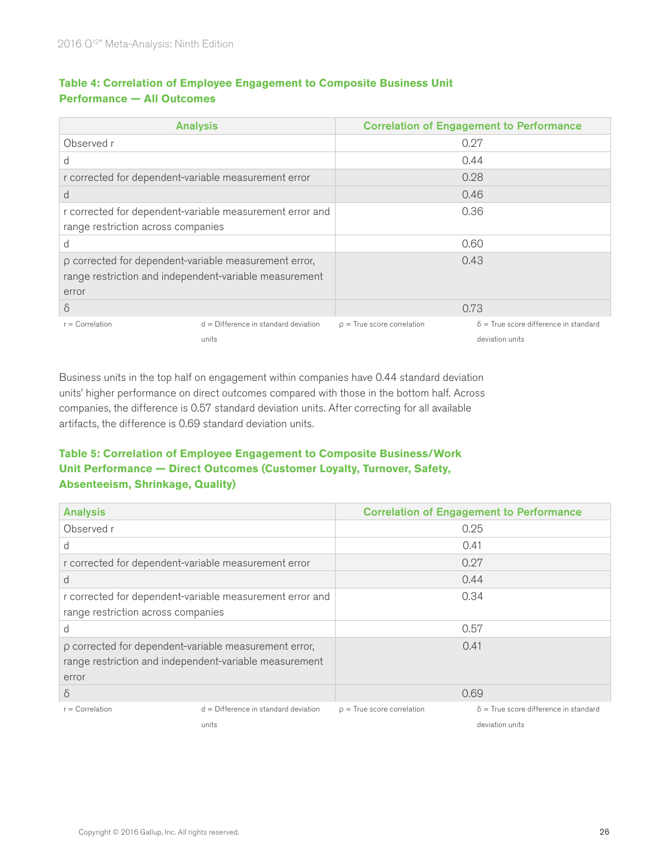| Table 4: Correlation of Employee Engagement to Composite Business Unit |  |
|------------------------------------------------------------------------|--|
| <b>Performance – All Outcomes</b>                                      |  |

|                                                        | <b>Analysis</b>                                          | <b>Correlation of Engagement to Performance</b> |                                              |  |  |  |
|--------------------------------------------------------|----------------------------------------------------------|-------------------------------------------------|----------------------------------------------|--|--|--|
| Observed r                                             |                                                          | 0.27                                            |                                              |  |  |  |
| d                                                      |                                                          | 0.44                                            |                                              |  |  |  |
| r corrected for dependent-variable measurement error   |                                                          | 0.28                                            |                                              |  |  |  |
| d                                                      |                                                          | 0.46                                            |                                              |  |  |  |
|                                                        | r corrected for dependent-variable measurement error and |                                                 | 0.36                                         |  |  |  |
| range restriction across companies                     |                                                          |                                                 |                                              |  |  |  |
| d                                                      |                                                          |                                                 | 0.60                                         |  |  |  |
| p corrected for dependent-variable measurement error,  |                                                          | 0.43                                            |                                              |  |  |  |
| range restriction and independent-variable measurement |                                                          |                                                 |                                              |  |  |  |
| error                                                  |                                                          |                                                 |                                              |  |  |  |
| $\delta$                                               |                                                          |                                                 | 0.73                                         |  |  |  |
| $r =$ Correlation                                      | $d =$ Difference in standard deviation                   | $\rho$ = True score correlation                 | $\delta$ = True score difference in standard |  |  |  |
|                                                        | units                                                    |                                                 | deviation units                              |  |  |  |

Business units in the top half on engagement within companies have 0.44 standard deviation units' higher performance on direct outcomes compared with those in the bottom half. Across companies, the difference is 0.57 standard deviation units. After correcting for all available artifacts, the difference is 0.69 standard deviation units.

### **Table 5: Correlation of Employee Engagement to Composite Business/Work Unit Performance — Direct Outcomes (Customer Loyalty, Turnover, Safety, Absenteeism, Shrinkage, Quality)**

| <b>Analysis</b>                                                                                                          |                                                          |                                 | <b>Correlation of Engagement to Performance</b>                 |
|--------------------------------------------------------------------------------------------------------------------------|----------------------------------------------------------|---------------------------------|-----------------------------------------------------------------|
| Observed r                                                                                                               |                                                          |                                 | 0.25                                                            |
| d                                                                                                                        |                                                          |                                 | 0.41                                                            |
| r corrected for dependent-variable measurement error                                                                     |                                                          |                                 | 0.27                                                            |
| d                                                                                                                        |                                                          |                                 | 0.44                                                            |
| range restriction across companies                                                                                       | r corrected for dependent-variable measurement error and |                                 | 0.34                                                            |
| d                                                                                                                        |                                                          |                                 | 0.57                                                            |
| p corrected for dependent-variable measurement error,<br>range restriction and independent-variable measurement<br>error |                                                          |                                 | 0.41                                                            |
| δ                                                                                                                        |                                                          |                                 | 0.69                                                            |
| $r =$ Correlation                                                                                                        | $d =$ Difference in standard deviation<br>units          | $\rho$ = True score correlation | $\delta$ = True score difference in standard<br>deviation units |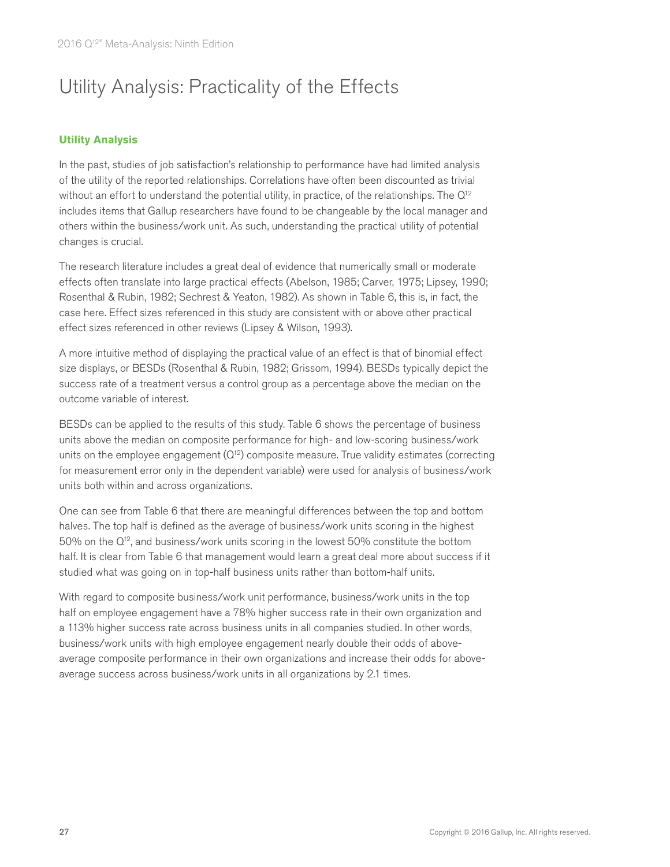# Utility Analysis: Practicality of the Effects

### **Utility Analysis**

In the past, studies of job satisfaction's relationship to performance have had limited analysis of the utility of the reported relationships. Correlations have often been discounted as trivial without an effort to understand the potential utility, in practice, of the relationships. The  $Q^{12}$ includes items that Gallup researchers have found to be changeable by the local manager and others within the business/work unit. As such, understanding the practical utility of potential changes is crucial.

The research literature includes a great deal of evidence that numerically small or moderate effects often translate into large practical effects (Abelson, 1985; Carver, 1975; Lipsey, 1990; Rosenthal & Rubin, 1982; Sechrest & Yeaton, 1982). As shown in Table 6, this is, in fact, the case here. Effect sizes referenced in this study are consistent with or above other practical effect sizes referenced in other reviews (Lipsey & Wilson, 1993).

A more intuitive method of displaying the practical value of an effect is that of binomial effect size displays, or BESDs (Rosenthal & Rubin, 1982; Grissom, 1994). BESDs typically depict the success rate of a treatment versus a control group as a percentage above the median on the outcome variable of interest.

BESDs can be applied to the results of this study. Table 6 shows the percentage of business units above the median on composite performance for high- and low-scoring business/work units on the employee engagement  $(Q<sup>12</sup>)$  composite measure. True validity estimates (correcting for measurement error only in the dependent variable) were used for analysis of business/work units both within and across organizations.

One can see from Table 6 that there are meaningful differences between the top and bottom halves. The top half is defined as the average of business/work units scoring in the highest  $50\%$  on the  $Q^{12}$ , and business/work units scoring in the lowest  $50\%$  constitute the bottom half. It is clear from Table 6 that management would learn a great deal more about success if it studied what was going on in top-half business units rather than bottom-half units.

With regard to composite business/work unit performance, business/work units in the top half on employee engagement have a 78% higher success rate in their own organization and a 113% higher success rate across business units in all companies studied. In other words, business/work units with high employee engagement nearly double their odds of aboveaverage composite performance in their own organizations and increase their odds for aboveaverage success across business/work units in all organizations by 2.1 times.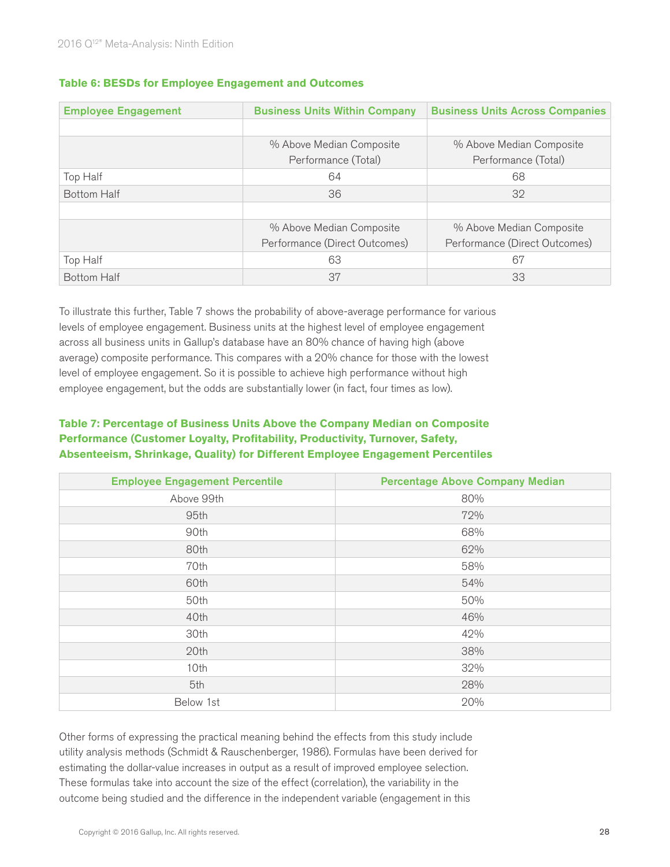| <b>Employee Engagement</b> | <b>Business Units Within Company</b>            | <b>Business Units Across Companies</b>          |  |  |
|----------------------------|-------------------------------------------------|-------------------------------------------------|--|--|
|                            |                                                 |                                                 |  |  |
|                            | % Above Median Composite<br>Performance (Total) | % Above Median Composite<br>Performance (Total) |  |  |
| Top Half                   | 64                                              | 68                                              |  |  |
| <b>Bottom Half</b>         | 36                                              | 32                                              |  |  |
|                            |                                                 |                                                 |  |  |
|                            | % Above Median Composite                        | % Above Median Composite                        |  |  |
|                            | Performance (Direct Outcomes)                   | Performance (Direct Outcomes)                   |  |  |
| Top Half                   | 63                                              | 67                                              |  |  |
| <b>Bottom Half</b>         | 37                                              | 33                                              |  |  |

#### **Table 6: BESDs for Employee Engagement and Outcomes**

To illustrate this further, Table 7 shows the probability of above-average performance for various levels of employee engagement. Business units at the highest level of employee engagement across all business units in Gallup's database have an 80% chance of having high (above average) composite performance. This compares with a 20% chance for those with the lowest level of employee engagement. So it is possible to achieve high performance without high employee engagement, but the odds are substantially lower (in fact, four times as low).

### **Table 7: Percentage of Business Units Above the Company Median on Composite Performance (Customer Loyalty, Profitability, Productivity, Turnover, Safety, Absenteeism, Shrinkage, Quality) for Different Employee Engagement Percentiles**

| <b>Employee Engagement Percentile</b> | <b>Percentage Above Company Median</b> |
|---------------------------------------|----------------------------------------|
| Above 99th                            | 80%                                    |
| 95th                                  | 72%                                    |
| 90th                                  | 68%                                    |
| 80th                                  | 62%                                    |
| 70th                                  | 58%                                    |
| 60th                                  | 54%                                    |
| 50th                                  | 50%                                    |
| 40th                                  | 46%                                    |
| 30th                                  | 42%                                    |
| 20th                                  | 38%                                    |
| 10th                                  | 32%                                    |
| 5th                                   | 28%                                    |
| Below 1st                             | 20%                                    |

Other forms of expressing the practical meaning behind the effects from this study include utility analysis methods (Schmidt & Rauschenberger, 1986). Formulas have been derived for estimating the dollar-value increases in output as a result of improved employee selection. These formulas take into account the size of the effect (correlation), the variability in the outcome being studied and the difference in the independent variable (engagement in this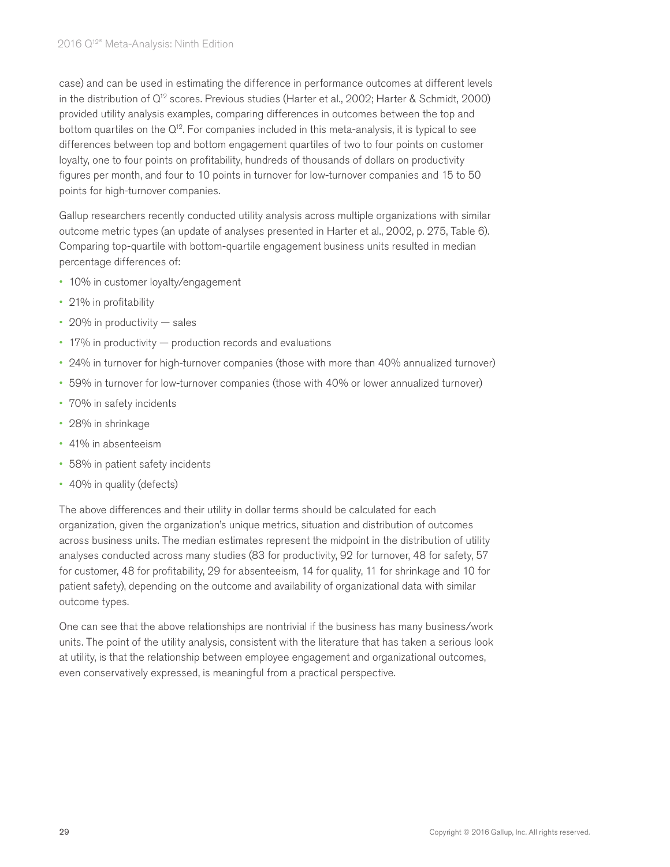case) and can be used in estimating the difference in performance outcomes at different levels in the distribution of Q<sup>12</sup> scores. Previous studies (Harter et al., 2002; Harter & Schmidt, 2000) provided utility analysis examples, comparing differences in outcomes between the top and bottom quartiles on the  $Q^{12}$ . For companies included in this meta-analysis, it is typical to see differences between top and bottom engagement quartiles of two to four points on customer loyalty, one to four points on profitability, hundreds of thousands of dollars on productivity figures per month, and four to 10 points in turnover for low-turnover companies and 15 to 50 points for high-turnover companies.

Gallup researchers recently conducted utility analysis across multiple organizations with similar outcome metric types (an update of analyses presented in Harter et al., 2002, p. 275, Table 6). Comparing top-quartile with bottom-quartile engagement business units resulted in median percentage differences of:

- 10% in customer loyalty/engagement
- 21% in profitability
- 20% in productivity sales
- 17% in productivity production records and evaluations
- 24% in turnover for high-turnover companies (those with more than 40% annualized turnover)
- 59% in turnover for low-turnover companies (those with 40% or lower annualized turnover)
- 70% in safety incidents
- 28% in shrinkage
- 41% in absenteeism
- 58% in patient safety incidents
- 40% in quality (defects)

The above differences and their utility in dollar terms should be calculated for each organization, given the organization's unique metrics, situation and distribution of outcomes across business units. The median estimates represent the midpoint in the distribution of utility analyses conducted across many studies (83 for productivity, 92 for turnover, 48 for safety, 57 for customer, 48 for profitability, 29 for absenteeism, 14 for quality, 11 for shrinkage and 10 for patient safety), depending on the outcome and availability of organizational data with similar outcome types.

One can see that the above relationships are nontrivial if the business has many business/work units. The point of the utility analysis, consistent with the literature that has taken a serious look at utility, is that the relationship between employee engagement and organizational outcomes, even conservatively expressed, is meaningful from a practical perspective.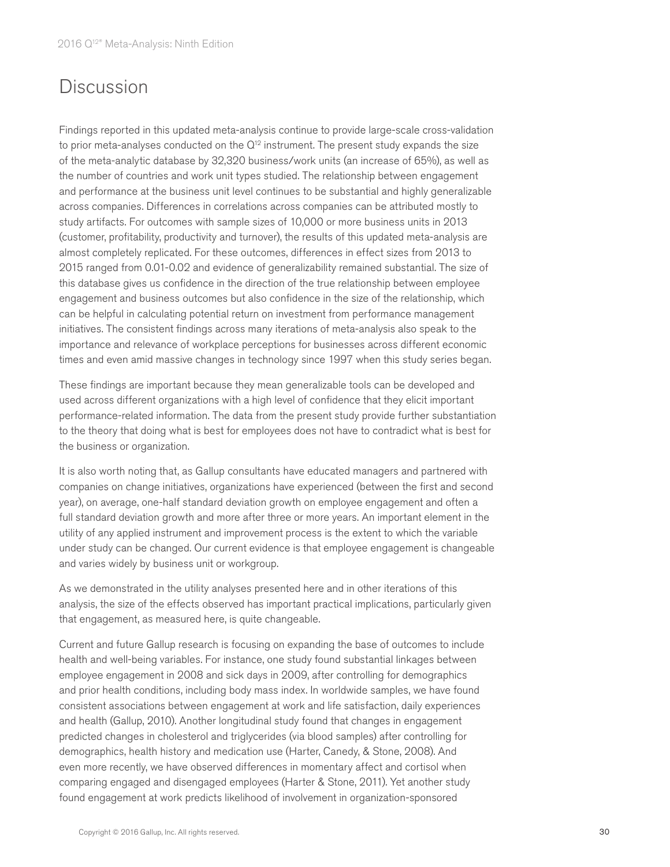# **Discussion**

Findings reported in this updated meta-analysis continue to provide large-scale cross-validation to prior meta-analyses conducted on the  $Q<sup>12</sup>$  instrument. The present study expands the size of the meta-analytic database by 32,320 business/work units (an increase of 65%), as well as the number of countries and work unit types studied. The relationship between engagement and performance at the business unit level continues to be substantial and highly generalizable across companies. Differences in correlations across companies can be attributed mostly to study artifacts. For outcomes with sample sizes of 10,000 or more business units in 2013 (customer, profitability, productivity and turnover), the results of this updated meta-analysis are almost completely replicated. For these outcomes, differences in effect sizes from 2013 to 2015 ranged from 0.01-0.02 and evidence of generalizability remained substantial. The size of this database gives us confidence in the direction of the true relationship between employee engagement and business outcomes but also confidence in the size of the relationship, which can be helpful in calculating potential return on investment from performance management initiatives. The consistent findings across many iterations of meta-analysis also speak to the importance and relevance of workplace perceptions for businesses across different economic times and even amid massive changes in technology since 1997 when this study series began.

These findings are important because they mean generalizable tools can be developed and used across different organizations with a high level of confidence that they elicit important performance-related information. The data from the present study provide further substantiation to the theory that doing what is best for employees does not have to contradict what is best for the business or organization.

It is also worth noting that, as Gallup consultants have educated managers and partnered with companies on change initiatives, organizations have experienced (between the first and second year), on average, one-half standard deviation growth on employee engagement and often a full standard deviation growth and more after three or more years. An important element in the utility of any applied instrument and improvement process is the extent to which the variable under study can be changed. Our current evidence is that employee engagement is changeable and varies widely by business unit or workgroup.

As we demonstrated in the utility analyses presented here and in other iterations of this analysis, the size of the effects observed has important practical implications, particularly given that engagement, as measured here, is quite changeable.

Current and future Gallup research is focusing on expanding the base of outcomes to include health and well-being variables. For instance, one study found substantial linkages between employee engagement in 2008 and sick days in 2009, after controlling for demographics and prior health conditions, including body mass index. In worldwide samples, we have found consistent associations between engagement at work and life satisfaction, daily experiences and health (Gallup, 2010). Another longitudinal study found that changes in engagement predicted changes in cholesterol and triglycerides (via blood samples) after controlling for demographics, health history and medication use (Harter, Canedy, & Stone, 2008). And even more recently, we have observed differences in momentary affect and cortisol when comparing engaged and disengaged employees (Harter & Stone, 2011). Yet another study found engagement at work predicts likelihood of involvement in organization-sponsored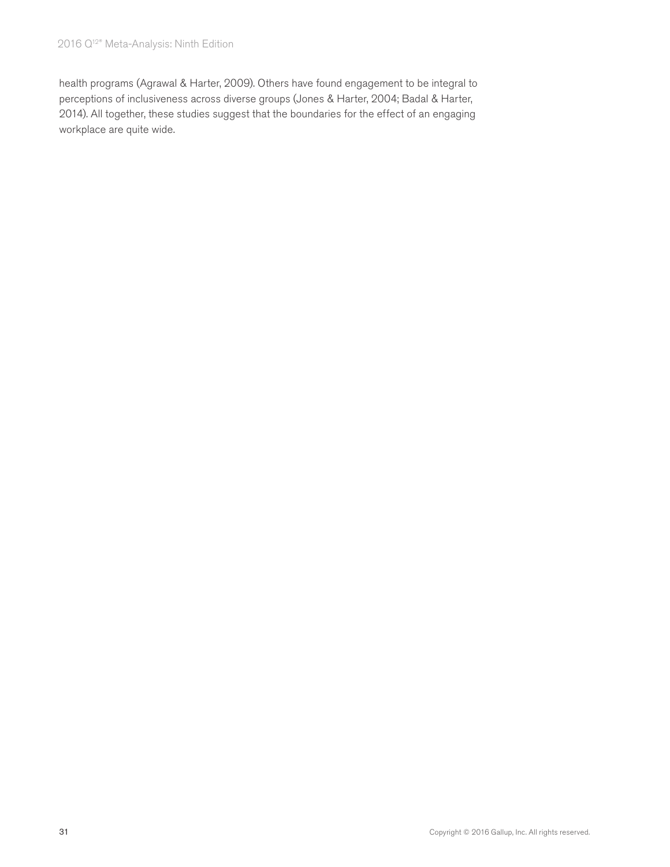health programs (Agrawal & Harter, 2009). Others have found engagement to be integral to perceptions of inclusiveness across diverse groups (Jones & Harter, 2004; Badal & Harter, 2014). All together, these studies suggest that the boundaries for the effect of an engaging workplace are quite wide.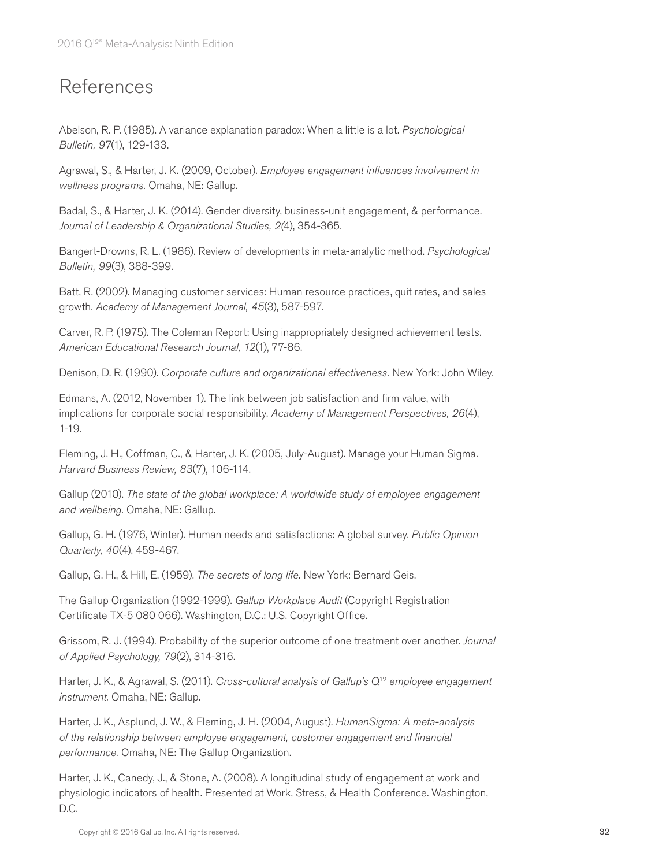# References

Abelson, R. P. (1985). A variance explanation paradox: When a little is a lot. *Psychological Bulletin, 97*(1), 129-133.

Agrawal, S., & Harter, J. K. (2009, October). *Employee engagement influences involvement in wellness programs.* Omaha, NE: Gallup.

Badal, S., & Harter, J. K. (2014). Gender diversity, business-unit engagement, & performance. *Journal of Leadership & Organizational Studies, 2(*4), 354-365.

Bangert-Drowns, R. L. (1986). Review of developments in meta-analytic method. *Psychological Bulletin, 99*(3), 388-399.

Batt, R. (2002). Managing customer services: Human resource practices, quit rates, and sales growth. *Academy of Management Journal, 45*(3), 587-597.

Carver, R. P. (1975). The Coleman Report: Using inappropriately designed achievement tests. *American Educational Research Journal, 12*(1), 77-86.

Denison, D. R. (1990). *Corporate culture and organizational effectiveness.* New York: John Wiley.

Edmans, A. (2012, November 1). The link between job satisfaction and firm value, with implications for corporate social responsibility. *Academy of Management Perspectives, 26*(4), 1-19.

Fleming, J. H., Coffman, C., & Harter, J. K. (2005, July-August). Manage your Human Sigma. *Harvard Business Review, 83*(7), 106-114.

Gallup (2010). *The state of the global workplace: A worldwide study of employee engagement and wellbeing.* Omaha, NE: Gallup.

Gallup, G. H. (1976, Winter). Human needs and satisfactions: A global survey. *Public Opinion Quarterly, 40*(4), 459-467.

Gallup, G. H., & Hill, E. (1959). *The secrets of long life.* New York: Bernard Geis.

The Gallup Organization (1992-1999). *Gallup Workplace Audit* (Copyright Registration Certificate TX-5 080 066). Washington, D.C.: U.S. Copyright Office.

Grissom, R. J. (1994). Probability of the superior outcome of one treatment over another. *Journal of Applied Psychology, 79*(2), 314-316.

Harter, J. K., & Agrawal, S. (2011). *Cross-cultural analysis of Gallup's Q*12 *employee engagement instrument.* Omaha, NE: Gallup.

Harter, J. K., Asplund, J. W., & Fleming, J. H. (2004, August). *HumanSigma: A meta-analysis of the relationship between employee engagement, customer engagement and financial performance.* Omaha, NE: The Gallup Organization.

Harter, J. K., Canedy, J., & Stone, A. (2008). A longitudinal study of engagement at work and physiologic indicators of health. Presented at Work, Stress, & Health Conference. Washington, D.C.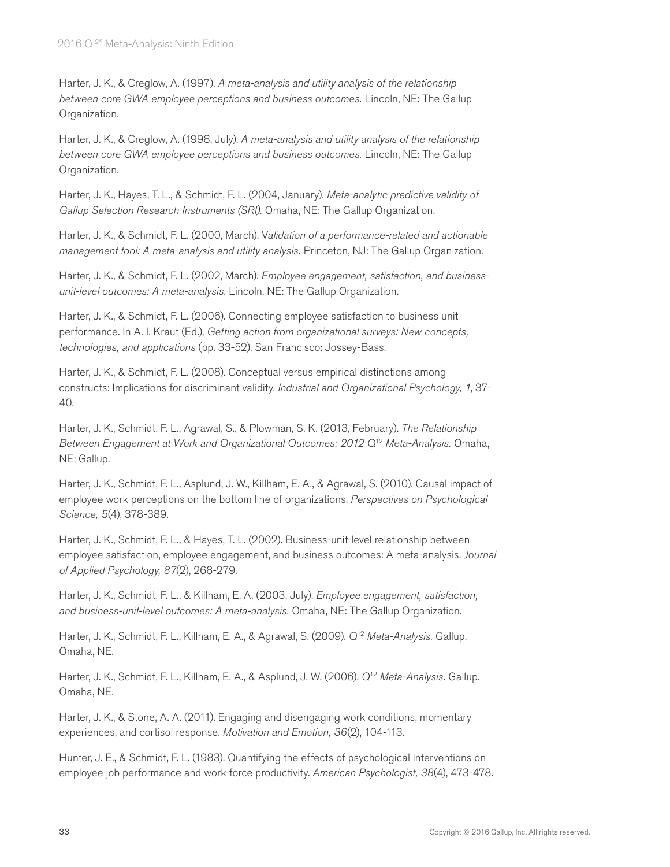Harter, J. K., & Creglow, A. (1997). *A meta-analysis and utility analysis of the relationship between core GWA employee perceptions and business outcomes.* Lincoln, NE: The Gallup Organization.

Harter, J. K., & Creglow, A. (1998, July). *A meta-analysis and utility analysis of the relationship between core GWA employee perceptions and business outcomes.* Lincoln, NE: The Gallup Organization.

Harter, J. K., Hayes, T. L., & Schmidt, F. L. (2004, January). *Meta-analytic predictive validity of Gallup Selection Research Instruments (SRI).* Omaha, NE: The Gallup Organization.

Harter, J. K., & Schmidt, F. L. (2000, March). V*alidation of a performance-related and actionable management tool: A meta-analysis and utility analysis.* Princeton, NJ: The Gallup Organization.

Harter, J. K., & Schmidt, F. L. (2002, March). *Employee engagement, satisfaction, and businessunit-level outcomes: A meta-analysis.* Lincoln, NE: The Gallup Organization.

Harter, J. K., & Schmidt, F. L. (2006). Connecting employee satisfaction to business unit performance. In A. I. Kraut (Ed.), *Getting action from organizational surveys: New concepts, technologies, and applications* (pp. 33-52). San Francisco: Jossey-Bass.

Harter, J. K., & Schmidt, F. L. (2008). Conceptual versus empirical distinctions among constructs: Implications for discriminant validity. *Industrial and Organizational Psychology, 1*, 37- 40.

Harter, J. K., Schmidt, F. L., Agrawal, S., & Plowman, S. K. (2013, February). *The Relationship Between Engagement at Work and Organizational Outcomes: 2012 Q*12 *Meta-Analysis.* Omaha, NE: Gallup.

Harter, J. K., Schmidt, F. L., Asplund, J. W., Killham, E. A., & Agrawal, S. (2010). Causal impact of employee work perceptions on the bottom line of organizations. *Perspectives on Psychological Science, 5*(4), 378-389.

Harter, J. K., Schmidt, F. L., & Hayes, T. L. (2002). Business-unit-level relationship between employee satisfaction, employee engagement, and business outcomes: A meta-analysis. *Journal of Applied Psychology, 87*(2), 268-279.

Harter, J. K., Schmidt, F. L., & Killham, E. A. (2003, July). *Employee engagement, satisfaction, and business-unit-level outcomes: A meta-analysis.* Omaha, NE: The Gallup Organization.

Harter, J. K., Schmidt, F. L., Killham, E. A., & Agrawal, S. (2009). *Q*12 *Meta-Analysis.* Gallup. Omaha, NE.

Harter, J. K., Schmidt, F. L., Killham, E. A., & Asplund, J. W. (2006). *Q*12 *Meta-Analysis.* Gallup. Omaha, NE.

Harter, J. K., & Stone, A. A. (2011). Engaging and disengaging work conditions, momentary experiences, and cortisol response. *Motivation and Emotion, 36*(2), 104-113.

Hunter, J. E., & Schmidt, F. L. (1983). Quantifying the effects of psychological interventions on employee job performance and work-force productivity. *American Psychologist, 38*(4), 473-478.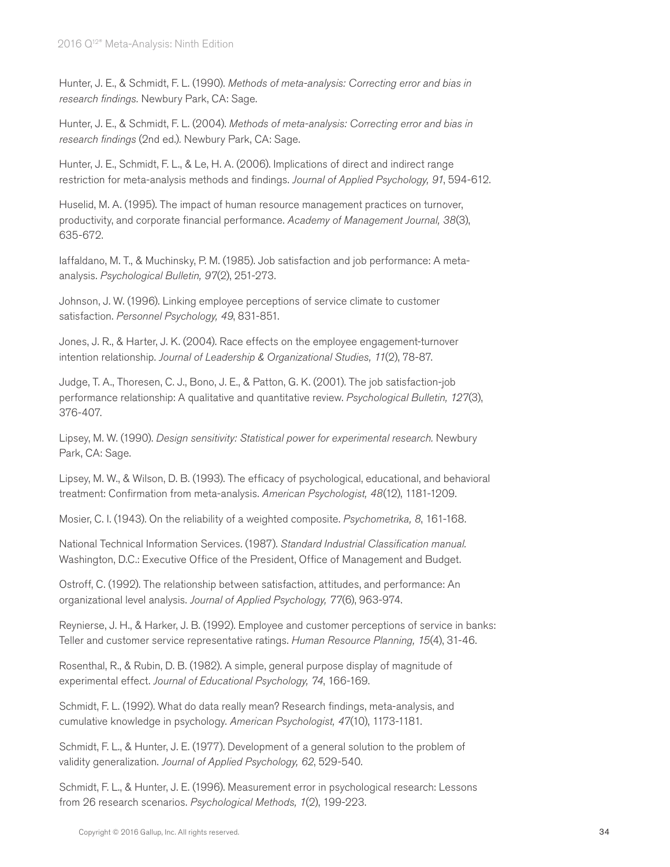Hunter, J. E., & Schmidt, F. L. (1990). *Methods of meta-analysis: Correcting error and bias in research findings.* Newbury Park, CA: Sage.

Hunter, J. E., & Schmidt, F. L. (2004). *Methods of meta-analysis: Correcting error and bias in research findings* (2nd ed.)*.* Newbury Park, CA: Sage.

Hunter, J. E., Schmidt, F. L., & Le, H. A. (2006). Implications of direct and indirect range restriction for meta-analysis methods and findings. *Journal of Applied Psychology, 91*, 594-612.

Huselid, M. A. (1995). The impact of human resource management practices on turnover, productivity, and corporate financial performance. *Academy of Management Journal, 38*(3), 635-672.

Iaffaldano, M. T., & Muchinsky, P. M. (1985). Job satisfaction and job performance: A metaanalysis. *Psychological Bulletin, 97*(2), 251-273.

Johnson, J. W. (1996). Linking employee perceptions of service climate to customer satisfaction. *Personnel Psychology, 49*, 831-851.

Jones, J. R., & Harter, J. K. (2004). Race effects on the employee engagement-turnover intention relationship. *Journal of Leadership & Organizational Studies, 11*(2), 78-87.

Judge, T. A., Thoresen, C. J., Bono, J. E., & Patton, G. K. (2001). The job satisfaction-job performance relationship: A qualitative and quantitative review. *Psychological Bulletin, 127*(3), 376-407.

Lipsey, M. W. (1990). *Design sensitivity: Statistical power for experimental research.* Newbury Park, CA: Sage.

Lipsey, M. W., & Wilson, D. B. (1993). The efficacy of psychological, educational, and behavioral treatment: Confirmation from meta-analysis. *American Psychologist, 48*(12), 1181-1209.

Mosier, C. I. (1943). On the reliability of a weighted composite. *Psychometrika, 8*, 161-168.

National Technical Information Services. (1987). *Standard Industrial Classification manual.*  Washington, D.C.: Executive Office of the President, Office of Management and Budget.

Ostroff, C. (1992). The relationship between satisfaction, attitudes, and performance: An organizational level analysis. *Journal of Applied Psychology, 77*(6), 963-974.

Reynierse, J. H., & Harker, J. B. (1992). Employee and customer perceptions of service in banks: Teller and customer service representative ratings. *Human Resource Planning, 15*(4), 31-46.

Rosenthal, R., & Rubin, D. B. (1982). A simple, general purpose display of magnitude of experimental effect. *Journal of Educational Psychology, 74*, 166-169.

Schmidt, F. L. (1992). What do data really mean? Research findings, meta-analysis, and cumulative knowledge in psychology. *American Psychologist, 47*(10), 1173-1181.

Schmidt, F. L., & Hunter, J. E. (1977). Development of a general solution to the problem of validity generalization. *Journal of Applied Psychology, 62*, 529-540.

Schmidt, F. L., & Hunter, J. E. (1996). Measurement error in psychological research: Lessons from 26 research scenarios. *Psychological Methods, 1*(2), 199-223.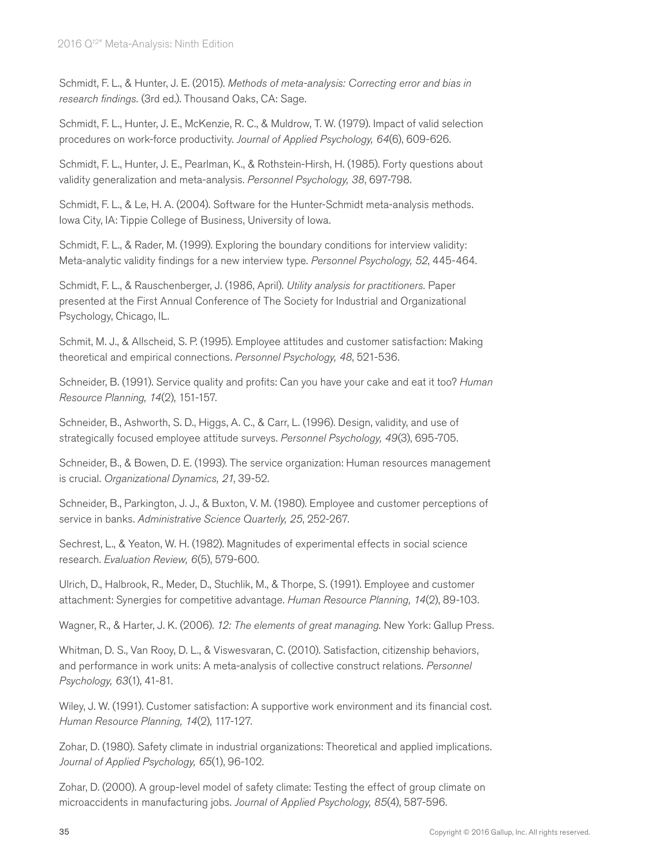Schmidt, F. L., & Hunter, J. E. (2015). *Methods of meta-analysis: Correcting error and bias in research findings.* (3rd ed.). Thousand Oaks, CA: Sage.

Schmidt, F. L., Hunter, J. E., McKenzie, R. C., & Muldrow, T. W. (1979). Impact of valid selection procedures on work-force productivity. *Journal of Applied Psychology, 64*(6), 609-626.

Schmidt, F. L., Hunter, J. E., Pearlman, K., & Rothstein-Hirsh, H. (1985). Forty questions about validity generalization and meta-analysis. *Personnel Psychology, 38*, 697-798.

Schmidt, F. L., & Le, H. A. (2004). Software for the Hunter-Schmidt meta-analysis methods. Iowa City, IA: Tippie College of Business, University of Iowa.

Schmidt, F. L., & Rader, M. (1999). Exploring the boundary conditions for interview validity: Meta-analytic validity findings for a new interview type. *Personnel Psychology, 52*, 445-464.

Schmidt, F. L., & Rauschenberger, J. (1986, April). *Utility analysis for practitioners.* Paper presented at the First Annual Conference of The Society for Industrial and Organizational Psychology, Chicago, IL.

Schmit, M. J., & Allscheid, S. P. (1995). Employee attitudes and customer satisfaction: Making theoretical and empirical connections. *Personnel Psychology, 48*, 521-536.

Schneider, B. (1991). Service quality and profits: Can you have your cake and eat it too? *Human Resource Planning, 14*(2), 151-157.

Schneider, B., Ashworth, S. D., Higgs, A. C., & Carr, L. (1996). Design, validity, and use of strategically focused employee attitude surveys. *Personnel Psychology, 49*(3), 695-705.

Schneider, B., & Bowen, D. E. (1993). The service organization: Human resources management is crucial. *Organizational Dynamics, 21*, 39-52.

Schneider, B., Parkington, J. J., & Buxton, V. M. (1980). Employee and customer perceptions of service in banks. *Administrative Science Quarterly, 25*, 252-267.

Sechrest, L., & Yeaton, W. H. (1982). Magnitudes of experimental effects in social science research. *Evaluation Review, 6*(5), 579-600.

Ulrich, D., Halbrook, R., Meder, D., Stuchlik, M., & Thorpe, S. (1991). Employee and customer attachment: Synergies for competitive advantage. *Human Resource Planning, 14*(2), 89-103.

Wagner, R., & Harter, J. K. (2006). *12: The elements of great managing.* New York: Gallup Press.

Whitman, D. S., Van Rooy, D. L., & Viswesvaran, C. (2010). Satisfaction, citizenship behaviors, and performance in work units: A meta-analysis of collective construct relations. *Personnel Psychology, 63*(1), 41-81.

Wiley, J. W. (1991). Customer satisfaction: A supportive work environment and its financial cost. *Human Resource Planning, 14*(2), 117-127.

Zohar, D. (1980). Safety climate in industrial organizations: Theoretical and applied implications. *Journal of Applied Psychology, 65*(1), 96-102.

Zohar, D. (2000). A group-level model of safety climate: Testing the effect of group climate on microaccidents in manufacturing jobs. *Journal of Applied Psychology, 85*(4), 587-596.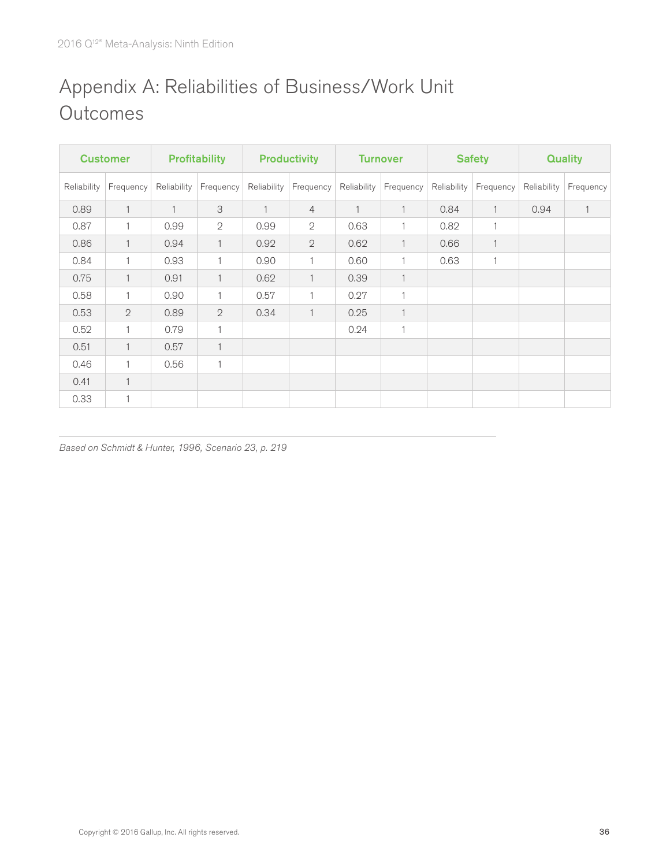# Appendix A: Reliabilities of Business/Work Unit **Outcomes**

|             | <b>Customer</b> |              | <b>Profitability</b> |              | <b>Productivity</b> |              | <b>Turnover</b> |             | <b>Safety</b> |             | <b>Quality</b> |
|-------------|-----------------|--------------|----------------------|--------------|---------------------|--------------|-----------------|-------------|---------------|-------------|----------------|
| Reliability | Frequency       | Reliability  | Frequency            | Reliability  | Frequency           | Reliability  | Frequency       | Reliability | Frequency     | Reliability | Frequency      |
| 0.89        | $\mathbf{1}$    | $\mathbf{1}$ | 3                    | $\mathbf{1}$ | $\overline{4}$      | $\mathbf{1}$ | 1               | 0.84        | $\mathbf{1}$  | 0.94        | $\mathbf{1}$   |
| 0.87        | 1               | 0.99         | $\overline{2}$       | 0.99         | $\mathbf{2}$        | 0.63         |                 | 0.82        | 1             |             |                |
| 0.86        | $\mathbf{1}$    | 0.94         | $\mathbf{1}$         | 0.92         | $\mathbf{2}$        | 0.62         | $\mathbf{1}$    | 0.66        |               |             |                |
| 0.84        | 1               | 0.93         |                      | 0.90         | $\overline{1}$      | 0.60         |                 | 0.63        |               |             |                |
| 0.75        | 1               | 0.91         |                      | 0.62         | $\mathbf{1}$        | 0.39         | $\mathbf{1}$    |             |               |             |                |
| 0.58        | 1               | 0.90         |                      | 0.57         | $\overline{1}$      | 0.27         | 1               |             |               |             |                |
| 0.53        | $\mathbf{2}$    | 0.89         | $\overline{2}$       | 0.34         | 1                   | 0.25         | 1               |             |               |             |                |
| 0.52        | 1               | 0.79         | $\overline{1}$       |              |                     | 0.24         | 1               |             |               |             |                |
| 0.51        | 1               | 0.57         |                      |              |                     |              |                 |             |               |             |                |
| 0.46        | 1               | 0.56         | $\mathbf{1}$         |              |                     |              |                 |             |               |             |                |
| 0.41        | 1               |              |                      |              |                     |              |                 |             |               |             |                |
| 0.33        | 1               |              |                      |              |                     |              |                 |             |               |             |                |

*Based on Schmidt & Hunter, 1996, Scenario 23, p. 219*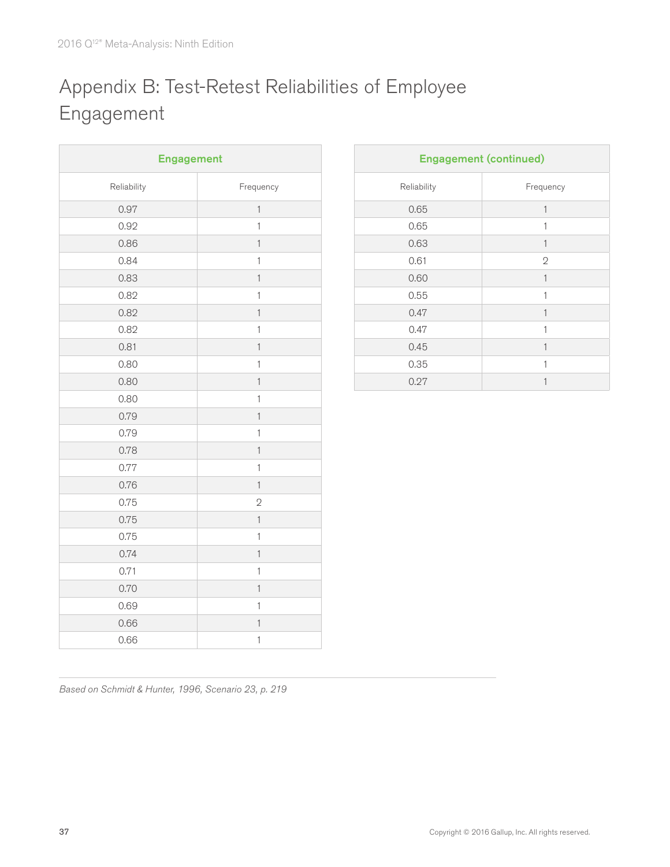# Appendix B: Test-Retest Reliabilities of Employee Engagement

| <b>Engagement</b> |                           |             | <b>Engagement (continued)</b> |
|-------------------|---------------------------|-------------|-------------------------------|
| Reliability       | Frequency                 | Reliability | Frequ                         |
| 0.97              | $\mathbbm{1}$             | 0.65        | $\ensuremath{\mathsf{1}}$     |
| 0.92              | $\mathbf{1}$              | 0.65        | $\mathbb{1}$                  |
| 0.86              | $\ensuremath{\mathsf{1}}$ | 0.63        | $\ensuremath{\mathsf{1}}$     |
| 0.84              | $\mathbf{1}$              | 0.61        | $\overline{2}$                |
| 0.83              | $\ensuremath{\mathsf{1}}$ | 0.60        | $\ensuremath{\mathsf{1}}$     |
| 0.82              | $\mathbf{1}$              | 0.55        | $\mathbb{1}$                  |
| 0.82              | $\uparrow$                | 0.47        | $\mathbf{1}$                  |
| 0.82              | $\uparrow$                | 0.47        | 1                             |
| 0.81              | $\uparrow$                | 0.45        | $\mathbf{1}$                  |
| 0.80              | $\mathbf{1}$              | 0.35        | $\mathbf{1}$                  |
| 0.80              | $\mathbf{1}$              | 0.27        | $\ensuremath{\mathsf{1}}$     |
| 0.80              | $\mathbf{1}$              |             |                               |
| 0.79              | $\uparrow$                |             |                               |
| 0.79              | $\mathbf{1}$              |             |                               |
| 0.78              | $\uparrow$                |             |                               |
| 0.77              | $\uparrow$                |             |                               |
| 0.76              | $\uparrow$                |             |                               |
| 0.75              | $\overline{2}$            |             |                               |
| 0.75              | $\uparrow$                |             |                               |
| 0.75              | $\uparrow$                |             |                               |
| 0.74              | $\ensuremath{\mathsf{1}}$ |             |                               |
| 0.71              | $\mathbf{1}$              |             |                               |
| 0.70              | $\uparrow$                |             |                               |
| 0.69              | $\mathbf{1}$              |             |                               |
| 0.66              | $\ensuremath{\mathsf{1}}$ |             |                               |
| 0.66              | $\ensuremath{\mathsf{1}}$ |             |                               |

| <b>Engagement</b> |           | <b>Engagement (continued)</b> |                |
|-------------------|-----------|-------------------------------|----------------|
| Reliability       | Frequency | Reliability                   | Frequency      |
| 0.97              |           | 0.65                          |                |
| 0.92              |           | 0.65                          |                |
| 0.86              |           | 0.63                          |                |
| 0.84              |           | 0.61                          | $\mathfrak{D}$ |
| 0.83              |           | 0.60                          |                |
| 0.82              |           | 0.55                          |                |
| 0.82              |           | 0.47                          |                |
| 0.82              |           | 0.47                          |                |
| 0.81              |           | 0.45                          |                |
| 0.80              |           | 0.35                          |                |
| 0.80              |           | 0.27                          |                |

*Based on Schmidt & Hunter, 1996, Scenario 23, p. 219*